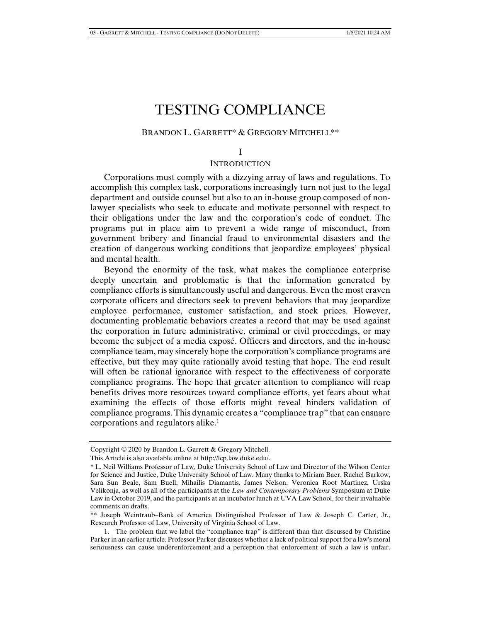# TESTING COMPLIANCE

#### BRANDON L. GARRETT\* & GREGORY MITCHELL\*\*

#### I

#### **INTRODUCTION**

Corporations must comply with a dizzying array of laws and regulations. To accomplish this complex task, corporations increasingly turn not just to the legal department and outside counsel but also to an in-house group composed of nonlawyer specialists who seek to educate and motivate personnel with respect to their obligations under the law and the corporation's code of conduct. The programs put in place aim to prevent a wide range of misconduct, from government bribery and financial fraud to environmental disasters and the creation of dangerous working conditions that jeopardize employees' physical and mental health.

Beyond the enormity of the task, what makes the compliance enterprise deeply uncertain and problematic is that the information generated by compliance efforts is simultaneously useful and dangerous. Even the most craven corporate officers and directors seek to prevent behaviors that may jeopardize employee performance, customer satisfaction, and stock prices. However, documenting problematic behaviors creates a record that may be used against the corporation in future administrative, criminal or civil proceedings, or may become the subject of a media exposé. Officers and directors, and the in-house compliance team, may sincerely hope the corporation's compliance programs are effective, but they may quite rationally avoid testing that hope. The end result will often be rational ignorance with respect to the effectiveness of corporate compliance programs. The hope that greater attention to compliance will reap benefits drives more resources toward compliance efforts, yet fears about what examining the effects of those efforts might reveal hinders validation of compliance programs. This dynamic creates a "compliance trap" that can ensnare corporations and regulators alike.<sup>1</sup>

Copyright © 2020 by Brandon L. Garrett & Gregory Mitchell.

This Article is also available online at http://lcp.law.duke.edu/.

<sup>\*</sup> L. Neil Williams Professor of Law, Duke University School of Law and Director of the Wilson Center for Science and Justice, Duke University School of Law. Many thanks to Miriam Baer, Rachel Barkow, Sara Sun Beale, Sam Buell, Mihailis Diamantis, James Nelson, Veronica Root Martinez, Urska Velikonja, as well as all of the participants at the *Law and Contemporary Problems* Symposium at Duke Law in October 2019, and the participants at an incubator lunch at UVA Law School, for their invaluable comments on drafts.

<sup>\*\*</sup> Joseph Weintraub–Bank of America Distinguished Professor of Law & Joseph C. Carter, Jr., Research Professor of Law, University of Virginia School of Law.

 <sup>1.</sup> The problem that we label the "compliance trap" is different than that discussed by Christine Parker in an earlier article. Professor Parker discusses whether a lack of political support for a law's moral seriousness can cause underenforcement and a perception that enforcement of such a law is unfair.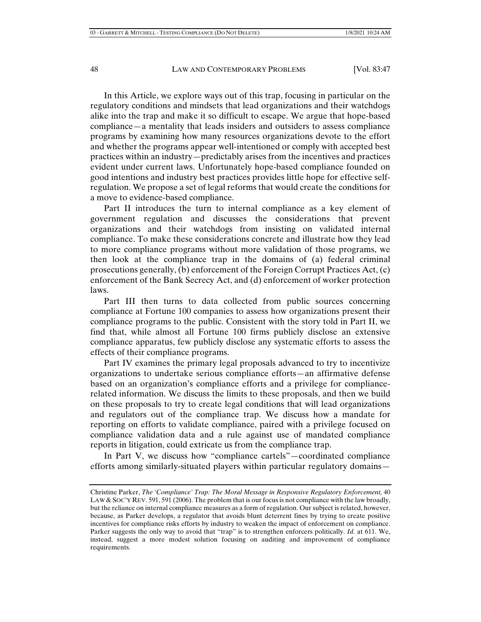In this Article, we explore ways out of this trap, focusing in particular on the regulatory conditions and mindsets that lead organizations and their watchdogs alike into the trap and make it so difficult to escape. We argue that hope-based compliance—a mentality that leads insiders and outsiders to assess compliance programs by examining how many resources organizations devote to the effort and whether the programs appear well-intentioned or comply with accepted best practices within an industry—predictably arises from the incentives and practices evident under current laws. Unfortunately hope-based compliance founded on good intentions and industry best practices provides little hope for effective selfregulation. We propose a set of legal reforms that would create the conditions for a move to evidence-based compliance.

Part II introduces the turn to internal compliance as a key element of government regulation and discusses the considerations that prevent organizations and their watchdogs from insisting on validated internal compliance. To make these considerations concrete and illustrate how they lead to more compliance programs without more validation of those programs, we then look at the compliance trap in the domains of (a) federal criminal prosecutions generally, (b) enforcement of the Foreign Corrupt Practices Act, (c) enforcement of the Bank Secrecy Act, and (d) enforcement of worker protection laws.

Part III then turns to data collected from public sources concerning compliance at Fortune 100 companies to assess how organizations present their compliance programs to the public. Consistent with the story told in Part II, we find that, while almost all Fortune 100 firms publicly disclose an extensive compliance apparatus, few publicly disclose any systematic efforts to assess the effects of their compliance programs.

Part IV examines the primary legal proposals advanced to try to incentivize organizations to undertake serious compliance efforts—an affirmative defense based on an organization's compliance efforts and a privilege for compliancerelated information. We discuss the limits to these proposals, and then we build on these proposals to try to create legal conditions that will lead organizations and regulators out of the compliance trap. We discuss how a mandate for reporting on efforts to validate compliance, paired with a privilege focused on compliance validation data and a rule against use of mandated compliance reports in litigation, could extricate us from the compliance trap.

In Part V, we discuss how "compliance cartels"—coordinated compliance efforts among similarly-situated players within particular regulatory domains—

Christine Parker, *The 'Compliance' Trap: The Moral Message in Responsive Regulatory Enforcement,* 40 LAW & SOC'Y REV. 591, 591 (2006). The problem that is our focus is not compliance with the law broadly, but the reliance on internal compliance measures as a form of regulation. Our subject is related, however, because, as Parker develops, a regulator that avoids blunt deterrent fines by trying to create positive incentives for compliance risks efforts by industry to weaken the impact of enforcement on compliance. Parker suggests the only way to avoid that "trap" is to strengthen enforcers politically. *Id.* at 611. We, instead, suggest a more modest solution focusing on auditing and improvement of compliance requirements.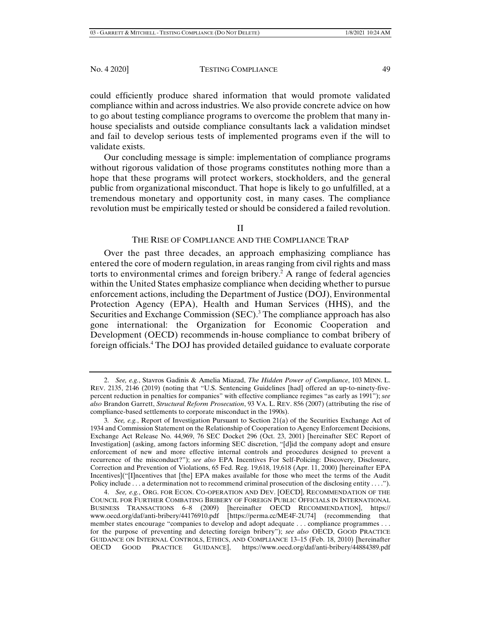could efficiently produce shared information that would promote validated compliance within and across industries. We also provide concrete advice on how to go about testing compliance programs to overcome the problem that many inhouse specialists and outside compliance consultants lack a validation mindset and fail to develop serious tests of implemented programs even if the will to validate exists.

Our concluding message is simple: implementation of compliance programs without rigorous validation of those programs constitutes nothing more than a hope that these programs will protect workers, stockholders, and the general public from organizational misconduct. That hope is likely to go unfulfilled, at a tremendous monetary and opportunity cost, in many cases. The compliance revolution must be empirically tested or should be considered a failed revolution.

#### II

#### THE RISE OF COMPLIANCE AND THE COMPLIANCE TRAP

Over the past three decades, an approach emphasizing compliance has entered the core of modern regulation, in areas ranging from civil rights and mass torts to environmental crimes and foreign bribery.<sup>2</sup> A range of federal agencies within the United States emphasize compliance when deciding whether to pursue enforcement actions, including the Department of Justice (DOJ), Environmental Protection Agency (EPA), Health and Human Services (HHS), and the Securities and Exchange Commission (SEC).<sup>3</sup> The compliance approach has also gone international: the Organization for Economic Cooperation and Development (OECD) recommends in-house compliance to combat bribery of foreign officials.4 The DOJ has provided detailed guidance to evaluate corporate

 <sup>2.</sup> *See, e.g.*, Stavros Gadinis & Amelia Miazad, *The Hidden Power of Compliance*, 103 MINN. L. REV. 2135, 2146 (2019) (noting that "U.S. Sentencing Guidelines [had] offered an up-to-ninety-fivepercent reduction in penalties for companies" with effective compliance regimes "as early as 1991"); *see also* Brandon Garrett, *Structural Reform Prosecution*, 93 VA. L. REV. 856 (2007) (attributing the rise of compliance-based settlements to corporate misconduct in the 1990s).

<sup>3</sup>*. See, e.g.*, Report of Investigation Pursuant to Section 21(a) of the Securities Exchange Act of 1934 and Commission Statement on the Relationship of Cooperation to Agency Enforcement Decisions, Exchange Act Release No. 44,969, 76 SEC Docket 296 (Oct. 23, 2001) [hereinafter SEC Report of Investigation] (asking, among factors informing SEC discretion, "[d]id the company adopt and ensure enforcement of new and more effective internal controls and procedures designed to prevent a recurrence of the misconduct?"); *see also* EPA Incentives For Self-Policing: Discovery, Disclosure, Correction and Prevention of Violations, 65 Fed. Reg. 19,618, 19,618 (Apr. 11, 2000) [hereinafter EPA Incentives]("[I]ncentives that [the] EPA makes available for those who meet the terms of the Audit Policy include . . . a determination not to recommend criminal prosecution of the disclosing entity . . . .").

 <sup>4.</sup> *See, e.g.*, ORG. FOR ECON. CO-OPERATION AND DEV. [OECD], RECOMMENDATION OF THE COUNCIL FOR FURTHER COMBATING BRIBERY OF FOREIGN PUBLIC OFFICIALS IN INTERNATIONAL BUSINESS TRANSACTIONS 6–8 (2009) [hereinafter OECD RECOMMENDATION], https:// www.oecd.org/daf/anti-bribery/44176910.pdf [https://perma.cc/ME4F-2U74] (recommending that member states encourage "companies to develop and adopt adequate . . . compliance programmes . . . for the purpose of preventing and detecting foreign bribery"); *see also* OECD, GOOD PRACTICE GUIDANCE ON INTERNAL CONTROLS, ETHICS, AND COMPLIANCE 13–15 (Feb. 18, 2010) [hereinafter OECD GOOD PRACTICE GUIDANCE], https://www.oecd.org/daf/anti-bribery/44884389.pdf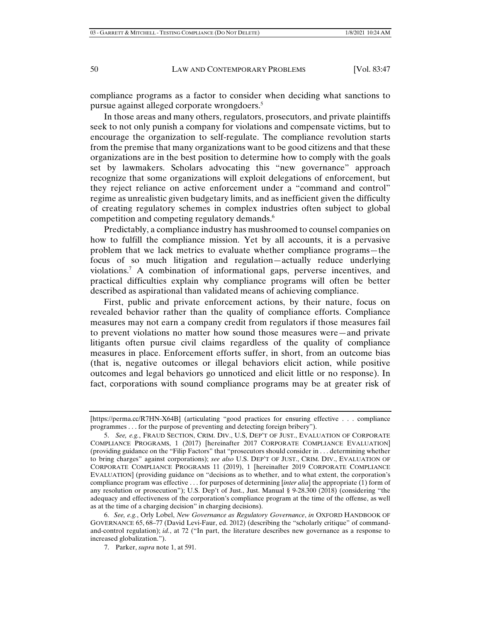compliance programs as a factor to consider when deciding what sanctions to pursue against alleged corporate wrongdoers.5

In those areas and many others, regulators, prosecutors, and private plaintiffs seek to not only punish a company for violations and compensate victims, but to encourage the organization to self-regulate. The compliance revolution starts from the premise that many organizations want to be good citizens and that these organizations are in the best position to determine how to comply with the goals set by lawmakers. Scholars advocating this "new governance" approach recognize that some organizations will exploit delegations of enforcement, but they reject reliance on active enforcement under a "command and control" regime as unrealistic given budgetary limits, and as inefficient given the difficulty of creating regulatory schemes in complex industries often subject to global competition and competing regulatory demands.<sup>6</sup>

Predictably, a compliance industry has mushroomed to counsel companies on how to fulfill the compliance mission. Yet by all accounts, it is a pervasive problem that we lack metrics to evaluate whether compliance programs—the focus of so much litigation and regulation—actually reduce underlying violations.7 A combination of informational gaps, perverse incentives, and practical difficulties explain why compliance programs will often be better described as aspirational than validated means of achieving compliance.

First, public and private enforcement actions, by their nature, focus on revealed behavior rather than the quality of compliance efforts. Compliance measures may not earn a company credit from regulators if those measures fail to prevent violations no matter how sound those measures were—and private litigants often pursue civil claims regardless of the quality of compliance measures in place. Enforcement efforts suffer, in short, from an outcome bias (that is, negative outcomes or illegal behaviors elicit action, while positive outcomes and legal behaviors go unnoticed and elicit little or no response). In fact, corporations with sound compliance programs may be at greater risk of

<sup>[</sup>https://perma.cc/R7HN-X64B] (articulating "good practices for ensuring effective . . . compliance programmes . . . for the purpose of preventing and detecting foreign bribery").

 <sup>5.</sup> *See, e.g.*, FRAUD SECTION, CRIM. DIV., U.S, DEP'T OF JUST., EVALUATION OF CORPORATE COMPLIANCE PROGRAMS, 1 (2017) [hereinafter 2017 CORPORATE COMPLIANCE EVALUATION] (providing guidance on the "Filip Factors" that "prosecutors should consider in . . . determining whether to bring charges" against corporations); *see also* U.S. DEP'T OF JUST., CRIM. DIV., EVALUATION OF CORPORATE COMPLIANCE PROGRAMS 11 (2019), 1 [hereinafter 2019 CORPORATE COMPLIANCE EVALUATION] (providing guidance on "decisions as to whether, and to what extent, the corporation's compliance program was effective . . . for purposes of determining [*inter alia*] the appropriate (1) form of any resolution or prosecution"); U.S. Dep't of Just., Just. Manual § 9-28.300 (2018) (considering "the adequacy and effectiveness of the corporation's compliance program at the time of the offense, as well as at the time of a charging decision" in charging decisions).

 <sup>6.</sup> *See, e.g.*, Orly Lobel, *New Governance as Regulatory Governance*, *in* OXFORD HANDBOOK OF GOVERNANCE 65, 68–77 (David Levi-Faur, ed. 2012) (describing the "scholarly critique" of commandand-control regulation); *id.*, at 72 ("In part, the literature describes new governance as a response to increased globalization.").

 <sup>7.</sup> Parker, *supra* note 1, at 591.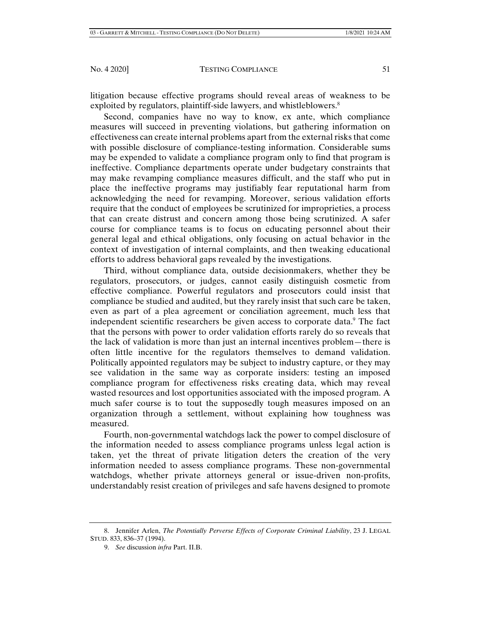litigation because effective programs should reveal areas of weakness to be exploited by regulators, plaintiff-side lawyers, and whistleblowers.<sup>8</sup>

Second, companies have no way to know, ex ante, which compliance measures will succeed in preventing violations, but gathering information on effectiveness can create internal problems apart from the external risks that come with possible disclosure of compliance-testing information. Considerable sums may be expended to validate a compliance program only to find that program is ineffective. Compliance departments operate under budgetary constraints that may make revamping compliance measures difficult, and the staff who put in place the ineffective programs may justifiably fear reputational harm from acknowledging the need for revamping. Moreover, serious validation efforts require that the conduct of employees be scrutinized for improprieties, a process that can create distrust and concern among those being scrutinized. A safer course for compliance teams is to focus on educating personnel about their general legal and ethical obligations, only focusing on actual behavior in the context of investigation of internal complaints, and then tweaking educational efforts to address behavioral gaps revealed by the investigations.

Third, without compliance data, outside decisionmakers, whether they be regulators, prosecutors, or judges, cannot easily distinguish cosmetic from effective compliance. Powerful regulators and prosecutors could insist that compliance be studied and audited, but they rarely insist that such care be taken, even as part of a plea agreement or conciliation agreement, much less that independent scientific researchers be given access to corporate data.<sup>9</sup> The fact that the persons with power to order validation efforts rarely do so reveals that the lack of validation is more than just an internal incentives problem—there is often little incentive for the regulators themselves to demand validation. Politically appointed regulators may be subject to industry capture, or they may see validation in the same way as corporate insiders: testing an imposed compliance program for effectiveness risks creating data, which may reveal wasted resources and lost opportunities associated with the imposed program. A much safer course is to tout the supposedly tough measures imposed on an organization through a settlement, without explaining how toughness was measured.

Fourth, non-governmental watchdogs lack the power to compel disclosure of the information needed to assess compliance programs unless legal action is taken, yet the threat of private litigation deters the creation of the very information needed to assess compliance programs. These non-governmental watchdogs, whether private attorneys general or issue-driven non-profits, understandably resist creation of privileges and safe havens designed to promote

 <sup>8.</sup> Jennifer Arlen, *The Potentially Perverse Effects of Corporate Criminal Liability*, 23 J. LEGAL STUD. 833, 836–37 (1994).

 <sup>9.</sup> *See* discussion *infra* Part. II.B.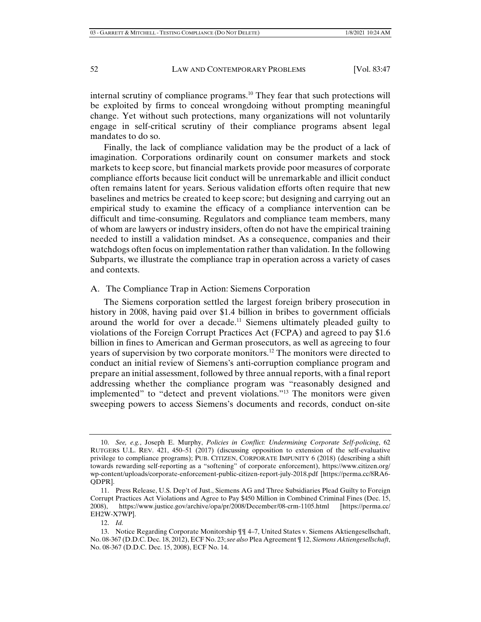internal scrutiny of compliance programs.10 They fear that such protections will be exploited by firms to conceal wrongdoing without prompting meaningful change. Yet without such protections, many organizations will not voluntarily engage in self-critical scrutiny of their compliance programs absent legal mandates to do so.

Finally, the lack of compliance validation may be the product of a lack of imagination. Corporations ordinarily count on consumer markets and stock markets to keep score, but financial markets provide poor measures of corporate compliance efforts because licit conduct will be unremarkable and illicit conduct often remains latent for years. Serious validation efforts often require that new baselines and metrics be created to keep score; but designing and carrying out an empirical study to examine the efficacy of a compliance intervention can be difficult and time-consuming. Regulators and compliance team members, many of whom are lawyers or industry insiders, often do not have the empirical training needed to instill a validation mindset. As a consequence, companies and their watchdogs often focus on implementation rather than validation. In the following Subparts, we illustrate the compliance trap in operation across a variety of cases and contexts.

# A. The Compliance Trap in Action: Siemens Corporation

The Siemens corporation settled the largest foreign bribery prosecution in history in 2008, having paid over \$1.4 billion in bribes to government officials around the world for over a decade.<sup>11</sup> Siemens ultimately pleaded guilty to violations of the Foreign Corrupt Practices Act (FCPA) and agreed to pay \$1.6 billion in fines to American and German prosecutors, as well as agreeing to four years of supervision by two corporate monitors.<sup>12</sup> The monitors were directed to conduct an initial review of Siemens's anti-corruption compliance program and prepare an initial assessment, followed by three annual reports, with a final report addressing whether the compliance program was "reasonably designed and implemented" to "detect and prevent violations."13 The monitors were given sweeping powers to access Siemens's documents and records, conduct on-site

 <sup>10.</sup> *See, e.g.*, Joseph E. Murphy, *Policies in Conflict: Undermining Corporate Self-policing*, 62 RUTGERS U.L. REV. 421, 450–51 (2017) (discussing opposition to extension of the self-evaluative privilege to compliance programs); PUB. CITIZEN, CORPORATE IMPUNITY 6 (2018) (describing a shift towards rewarding self-reporting as a "softening" of corporate enforcement), https://www.citizen.org/ wp-content/uploads/corporate-enforcement-public-citizen-report-july-2018.pdf [https://perma.cc/8RA6- QDPR].

 <sup>11.</sup> Press Release, U.S. Dep't of Just., Siemens AG and Three Subsidiaries Plead Guilty to Foreign Corrupt Practices Act Violations and Agree to Pay \$450 Million in Combined Criminal Fines (Dec. 15, 2008), https://www.justice.gov/archive/opa/pr/2008/December/08-crm-1105.html [https://perma.cc/ EH2W-X7WP].

 <sup>12.</sup> *Id.* 

 <sup>13.</sup> Notice Regarding Corporate Monitorship ¶¶ 4–7, United States v. Siemens Aktiengesellschaft, No. 08-367 (D.D.C. Dec. 18, 2012), ECF No. 23; *see also* Plea Agreement ¶ 12, *Siemens Aktiengesellschaft*, No. 08-367 (D.D.C. Dec. 15, 2008), ECF No. 14.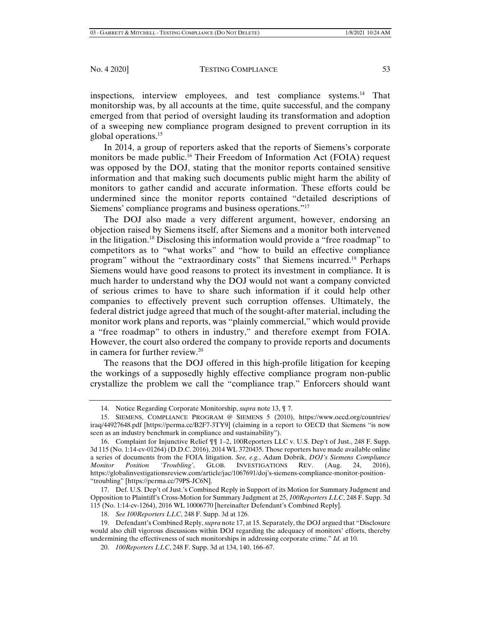inspections, interview employees, and test compliance systems.<sup>14</sup> That monitorship was, by all accounts at the time, quite successful, and the company emerged from that period of oversight lauding its transformation and adoption of a sweeping new compliance program designed to prevent corruption in its global operations.15

In 2014, a group of reporters asked that the reports of Siemens's corporate monitors be made public.16 Their Freedom of Information Act (FOIA) request was opposed by the DOJ, stating that the monitor reports contained sensitive information and that making such documents public might harm the ability of monitors to gather candid and accurate information. These efforts could be undermined since the monitor reports contained "detailed descriptions of Siemens' compliance programs and business operations."17

The DOJ also made a very different argument, however, endorsing an objection raised by Siemens itself, after Siemens and a monitor both intervened in the litigation.18 Disclosing this information would provide a "free roadmap" to competitors as to "what works" and "how to build an effective compliance program" without the "extraordinary costs" that Siemens incurred.19 Perhaps Siemens would have good reasons to protect its investment in compliance. It is much harder to understand why the DOJ would not want a company convicted of serious crimes to have to share such information if it could help other companies to effectively prevent such corruption offenses. Ultimately, the federal district judge agreed that much of the sought-after material, including the monitor work plans and reports, was "plainly commercial," which would provide a "free roadmap" to others in industry," and therefore exempt from FOIA. However, the court also ordered the company to provide reports and documents in camera for further review.20

The reasons that the DOJ offered in this high-profile litigation for keeping the workings of a supposedly highly effective compliance program non-public crystallize the problem we call the "compliance trap." Enforcers should want

 <sup>14.</sup> Notice Regarding Corporate Monitorship, *supra* note 13, ¶ 7.

 <sup>15.</sup> SIEMENS, COMPLIANCE PROGRAM @ SIEMENS 5 (2010), https://www.oecd.org/countries/ iraq/44927648.pdf [https://perma.cc/B2F7-3TY9] (claiming in a report to OECD that Siemens "is now seen as an industry benchmark in compliance and sustainability").

 <sup>16.</sup> Complaint for Injunctive Relief ¶¶ 1–2, 100Reporters LLC v. U.S. Dep't of Just., 248 F. Supp. 3d 115 (No. 1:14-cv-01264) (D.D.C. 2016), 2014 WL 3720435. Those reporters have made available online a series of documents from the FOIA litigation. *See, e.g.*, Adam Dobrik, *DOJ's Siemens Compliance Monitor Position 'Troubling'*, GLOB. INVESTIGATIONS REV. (Aug. 24, 2016), https://globalinvestigationsreview.com/article/jac/1067691/doj's-siemens-compliance-monitor-position- "troubling" [https://perma.cc/79PS-JC6N].

 <sup>17.</sup> Def. U.S. Dep't of Just.'s Combined Reply in Support of its Motion for Summary Judgment and Opposition to Plaintiff's Cross-Motion for Summary Judgment at 25, *100Reporters LLC*, 248 F. Supp. 3d 115 (No. 1:14-cv-1264), 2016 WL 10006770 [hereinafter Defendant's Combined Reply].

 <sup>18.</sup> *See 100Reporters LLC*, 248 F. Supp. 3d at 126.

 <sup>19.</sup> Defendant's Combined Reply, *supra* note 17, at 15. Separately, the DOJ argued that "Disclosure would also chill vigorous discussions within DOJ regarding the adequacy of monitors' efforts, thereby undermining the effectiveness of such monitorships in addressing corporate crime." *Id.* at 10.

 <sup>20.</sup> *100Reporters LLC*, 248 F. Supp. 3d at 134, 140, 166–67.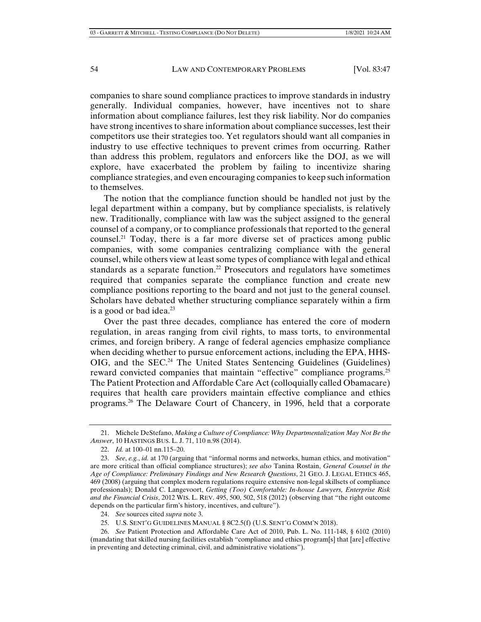companies to share sound compliance practices to improve standards in industry generally. Individual companies, however, have incentives not to share information about compliance failures, lest they risk liability. Nor do companies have strong incentives to share information about compliance successes, lest their competitors use their strategies too. Yet regulators should want all companies in industry to use effective techniques to prevent crimes from occurring. Rather than address this problem, regulators and enforcers like the DOJ, as we will explore, have exacerbated the problem by failing to incentivize sharing compliance strategies, and even encouraging companies to keep such information to themselves.

The notion that the compliance function should be handled not just by the legal department within a company, but by compliance specialists, is relatively new. Traditionally, compliance with law was the subject assigned to the general counsel of a company, or to compliance professionals that reported to the general counsel.<sup>21</sup> Today, there is a far more diverse set of practices among public companies, with some companies centralizing compliance with the general counsel, while others view at least some types of compliance with legal and ethical standards as a separate function.<sup>22</sup> Prosecutors and regulators have sometimes required that companies separate the compliance function and create new compliance positions reporting to the board and not just to the general counsel. Scholars have debated whether structuring compliance separately within a firm is a good or bad idea. $^{23}$ 

Over the past three decades, compliance has entered the core of modern regulation, in areas ranging from civil rights, to mass torts, to environmental crimes, and foreign bribery. A range of federal agencies emphasize compliance when deciding whether to pursue enforcement actions, including the EPA, HHS- $OIG$ , and the  $SEC.<sup>24</sup>$  The United States Sentencing Guidelines (Guidelines) reward convicted companies that maintain "effective" compliance programs.<sup>25</sup> The Patient Protection and Affordable Care Act (colloquially called Obamacare) requires that health care providers maintain effective compliance and ethics programs.26 The Delaware Court of Chancery, in 1996, held that a corporate

24. *See* sources cited *supra* note 3.

 <sup>21.</sup> Michele DeStefano, *Making a Culture of Compliance: Why Departmentalization May Not Be the Answer*, 10 HASTINGS BUS. L. J. 71, 110 n.98 (2014).

 <sup>22.</sup> *Id.* at 100–01 nn.115–20.

 <sup>23.</sup> *See*, *e.g.*, *id.* at 170 (arguing that "informal norms and networks, human ethics, and motivation" are more critical than official compliance structures); *see also* Tanina Rostain, *General Counsel in the Age of Compliance: Preliminary Findings and New Research Questions*, 21 GEO. J. LEGAL ETHICS 465, 469 (2008) (arguing that complex modern regulations require extensive non-legal skillsets of compliance professionals); Donald C. Langevoort, *Getting (Too) Comfortable: In-house Lawyers, Enterprise Risk and the Financial Crisis*, 2012 WIS. L. REV. 495, 500, 502, 518 (2012) (observing that "the right outcome depends on the particular firm's history, incentives, and culture").

 <sup>25.</sup> U.S. SENT'G GUIDELINES MANUAL § 8C2.5(f) (U.S. SENT'G COMM'N 2018).

 <sup>26.</sup> *See* Patient Protection and Affordable Care Act of 2010, Pub. L. No. 111-148, § 6102 (2010) (mandating that skilled nursing facilities establish "compliance and ethics program[s] that [are] effective in preventing and detecting criminal, civil, and administrative violations").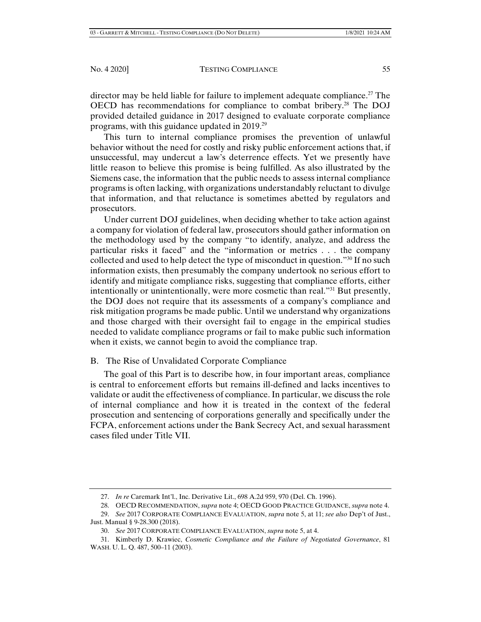director may be held liable for failure to implement adequate compliance.<sup>27</sup> The OECD has recommendations for compliance to combat bribery.28 The DOJ provided detailed guidance in 2017 designed to evaluate corporate compliance programs, with this guidance updated in 2019.29

This turn to internal compliance promises the prevention of unlawful behavior without the need for costly and risky public enforcement actions that, if unsuccessful, may undercut a law's deterrence effects. Yet we presently have little reason to believe this promise is being fulfilled. As also illustrated by the Siemens case, the information that the public needs to assess internal compliance programs is often lacking, with organizations understandably reluctant to divulge that information, and that reluctance is sometimes abetted by regulators and prosecutors.

Under current DOJ guidelines, when deciding whether to take action against a company for violation of federal law, prosecutors should gather information on the methodology used by the company "to identify, analyze, and address the particular risks it faced" and the "information or metrics . . . the company collected and used to help detect the type of misconduct in question."30 If no such information exists, then presumably the company undertook no serious effort to identify and mitigate compliance risks, suggesting that compliance efforts, either intentionally or unintentionally, were more cosmetic than real."31 But presently, the DOJ does not require that its assessments of a company's compliance and risk mitigation programs be made public. Until we understand why organizations and those charged with their oversight fail to engage in the empirical studies needed to validate compliance programs or fail to make public such information when it exists, we cannot begin to avoid the compliance trap.

# B. The Rise of Unvalidated Corporate Compliance

The goal of this Part is to describe how, in four important areas, compliance is central to enforcement efforts but remains ill-defined and lacks incentives to validate or audit the effectiveness of compliance. In particular, we discuss the role of internal compliance and how it is treated in the context of the federal prosecution and sentencing of corporations generally and specifically under the FCPA, enforcement actions under the Bank Secrecy Act, and sexual harassment cases filed under Title VII.

 <sup>27.</sup> *In re* Caremark Int'l., Inc. Derivative Lit., 698 A.2d 959, 970 (Del. Ch. 1996).

 <sup>28.</sup> OECD RECOMMENDATION, *supra* note 4; OECD GOOD PRACTICE GUIDANCE, *supra* note 4.

 <sup>29.</sup> *See* 2017 CORPORATE COMPLIANCE EVALUATION, *supra* note 5, at 11; *see also* Dep't of Just., Just. Manual § 9-28.300 (2018).

 <sup>30.</sup> *See* 2017 CORPORATE COMPLIANCE EVALUATION, *supra* note 5, at 4.

 <sup>31.</sup> Kimberly D. Krawiec, *Cosmetic Compliance and the Failure of Negotiated Governance*, 81 WASH. U. L. Q. 487, 500–11 (2003).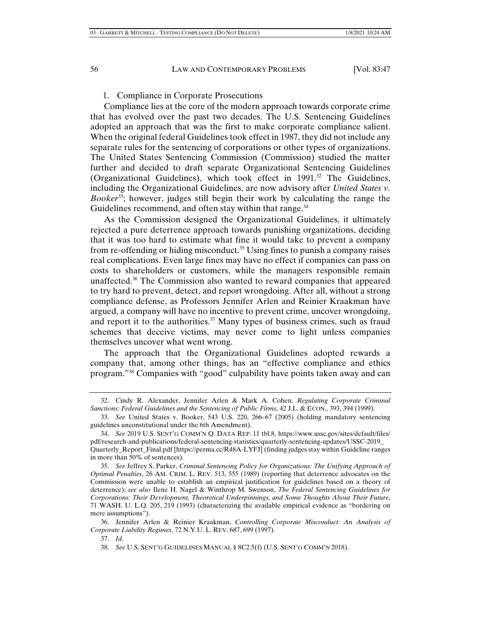#### 1. Compliance in Corporate Prosecutions

Compliance lies at the core of the modern approach towards corporate crime that has evolved over the past two decades. The U.S. Sentencing Guidelines adopted an approach that was the first to make corporate compliance salient. When the original federal Guidelines took effect in 1987, they did not include any separate rules for the sentencing of corporations or other types of organizations. The United States Sentencing Commission (Commission) studied the matter further and decided to draft separate Organizational Sentencing Guidelines (Organizational Guidelines), which took effect in  $1991<sup>32</sup>$  The Guidelines, including the Organizational Guidelines, are now advisory after *United States v. Booker*33; however, judges still begin their work by calculating the range the Guidelines recommend, and often stay within that range.<sup>34</sup>

As the Commission designed the Organizational Guidelines, it ultimately rejected a pure deterrence approach towards punishing organizations, deciding that it was too hard to estimate what fine it would take to prevent a company from re-offending or hiding misconduct.<sup>35</sup> Using fines to punish a company raises real complications. Even large fines may have no effect if companies can pass on costs to shareholders or customers, while the managers responsible remain unaffected. $36$  The Commission also wanted to reward companies that appeared to try hard to prevent, detect, and report wrongdoing. After all, without a strong compliance defense, as Professors Jennifer Arlen and Reinier Kraakman have argued, a company will have no incentive to prevent crime, uncover wrongdoing, and report it to the authorities.<sup>37</sup> Many types of business crimes, such as fraud schemes that deceive victims, may never come to light unless companies themselves uncover what went wrong.

The approach that the Organizational Guidelines adopted rewards a company that, among other things, has an "effective compliance and ethics program."38 Companies with "good" culpability have points taken away and can

 <sup>32.</sup> Cindy R. Alexander, Jennifer Arlen & Mark A. Cohen, *Regulating Corporate Criminal Sanctions: Federal Guidelines and the Sentencing of Public Firms,* 42 J.L. & ECON., 393, 394 (1999).

 <sup>33.</sup> *See* United States v. Booker, 543 U.S. 220, 266–67 (2005) (holding mandatory sentencing guidelines unconstitutional under the 6th Amendment).

 <sup>34.</sup> *See* 2019 U.S. SENT'G COMM'N Q. DATA REP. 11 tbl.8, https://www.ussc.gov/sites/default/files/ pdf/research-and-publications/federal-sentencing-statistics/quarterly-sentencing-updates/USSC-2019\_ Quarterly\_Report\_Final.pdf [https://perma.cc/R48A-LYFJ] (finding judges stay within Guideline ranges in more than 50% of sentences).

 <sup>35.</sup> *See* Jeffrey S. Parker, *Criminal Sentencing Policy for Organizations: The Unifying Approach of Optimal Penalties*, 26 AM. CRIM. L. REV. 513, 555 (1989) (reporting that deterrence advocates on the Commission were unable to establish an empirical justification for guidelines based on a theory of deterrence); *see also* Ilene H. Nagel & Winthrop M. Swenson, *The Federal Sentencing Guidelines for Corporations: Their Development, Theoretical Underpinnings, and Some Thoughts About Their Future*, 71 WASH. U. L.Q. 205, 219 (1993) (characterizing the available empirical evidence as "bordering on mere assumptions").

 <sup>36.</sup> Jennifer Arlen & Reinier Kraakman, *Controlling Corporate Misconduct: An Analysis of Corporate Liability Regimes*, 72 N.Y.U. L. REV. 687, 699 (1997).

 <sup>37.</sup> *Id.*

 <sup>38.</sup> *See* U.S. SENT'G GUIDELINES MANUAL § 8C2.5(f) (U.S. SENT'G COMM'N 2018).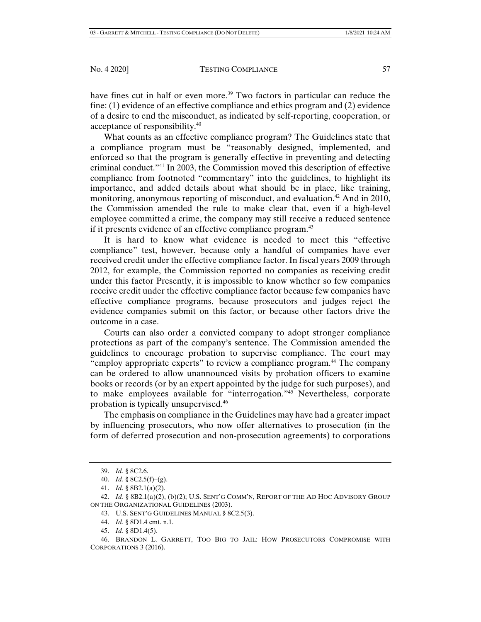have fines cut in half or even more.<sup>39</sup> Two factors in particular can reduce the fine: (1) evidence of an effective compliance and ethics program and (2) evidence of a desire to end the misconduct, as indicated by self-reporting, cooperation, or acceptance of responsibility.40

What counts as an effective compliance program? The Guidelines state that a compliance program must be "reasonably designed, implemented, and enforced so that the program is generally effective in preventing and detecting criminal conduct."41 In 2003, the Commission moved this description of effective compliance from footnoted "commentary" into the guidelines, to highlight its importance, and added details about what should be in place, like training, monitoring, anonymous reporting of misconduct, and evaluation.<sup>42</sup> And in 2010, the Commission amended the rule to make clear that, even if a high-level employee committed a crime, the company may still receive a reduced sentence if it presents evidence of an effective compliance program.<sup>43</sup>

It is hard to know what evidence is needed to meet this "effective compliance" test, however, because only a handful of companies have ever received credit under the effective compliance factor. In fiscal years 2009 through 2012, for example, the Commission reported no companies as receiving credit under this factor Presently, it is impossible to know whether so few companies receive credit under the effective compliance factor because few companies have effective compliance programs, because prosecutors and judges reject the evidence companies submit on this factor, or because other factors drive the outcome in a case.

Courts can also order a convicted company to adopt stronger compliance protections as part of the company's sentence. The Commission amended the guidelines to encourage probation to supervise compliance. The court may "employ appropriate experts" to review a compliance program.<sup>44</sup> The company can be ordered to allow unannounced visits by probation officers to examine books or records (or by an expert appointed by the judge for such purposes), and to make employees available for "interrogation."45 Nevertheless, corporate probation is typically unsupervised.46

The emphasis on compliance in the Guidelines may have had a greater impact by influencing prosecutors, who now offer alternatives to prosecution (in the form of deferred prosecution and non-prosecution agreements) to corporations

 <sup>39.</sup> *Id.* § 8C2.6.

 <sup>40.</sup> *Id.* § 8C2.5(f)–(g).

 <sup>41.</sup> *Id*. § 8B2.1(a)(2).

 <sup>42.</sup> *Id.* § 8B2.1(a)(2), (b)(2); U.S. SENT'G COMM'N, REPORT OF THE AD HOC ADVISORY GROUP ON THE ORGANIZATIONAL GUIDELINES (2003).

 <sup>43.</sup> U.S. SENT'G GUIDELINES MANUAL § 8C2.5(3).

 <sup>44.</sup> *Id.* § 8D1.4 cmt. n.1.

 <sup>45.</sup> *Id.* § 8D1.4(5).

 <sup>46.</sup> BRANDON L. GARRETT, TOO BIG TO JAIL: HOW PROSECUTORS COMPROMISE WITH CORPORATIONS 3 (2016).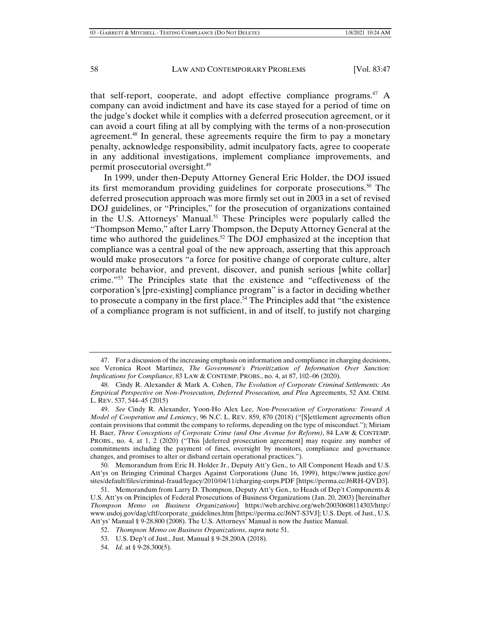that self-report, cooperate, and adopt effective compliance programs.<sup>47</sup> A company can avoid indictment and have its case stayed for a period of time on the judge's docket while it complies with a deferred prosecution agreement, or it can avoid a court filing at all by complying with the terms of a non-prosecution agreement.<sup>48</sup> In general, these agreements require the firm to pay a monetary penalty, acknowledge responsibility, admit inculpatory facts, agree to cooperate in any additional investigations, implement compliance improvements, and permit prosecutorial oversight.49

In 1999, under then-Deputy Attorney General Eric Holder, the DOJ issued its first memorandum providing guidelines for corporate prosecutions.<sup>50</sup> The deferred prosecution approach was more firmly set out in 2003 in a set of revised DOJ guidelines, or "Principles," for the prosecution of organizations contained in the U.S. Attorneys' Manual.<sup>51</sup> These Principles were popularly called the "Thompson Memo," after Larry Thompson, the Deputy Attorney General at the time who authored the guidelines.<sup>52</sup> The DOJ emphasized at the inception that compliance was a central goal of the new approach, asserting that this approach would make prosecutors "a force for positive change of corporate culture, alter corporate behavior, and prevent, discover, and punish serious [white collar] crime."53 The Principles state that the existence and "effectiveness of the corporation's [pre-existing] compliance program" is a factor in deciding whether to prosecute a company in the first place.<sup>54</sup> The Principles add that "the existence" of a compliance program is not sufficient, in and of itself, to justify not charging

 <sup>47.</sup> For a discussion of the increasing emphasis on information and compliance in charging decisions, see Veronica Root Martinez, *The Government's Prioritization of Information Over Sanction: Implications for Compliance*, 83 LAW & CONTEMP. PROBS., no. 4, at 87, 102–06 (2020).

 <sup>48.</sup> Cindy R. Alexander & Mark A. Cohen, *The Evolution of Corporate Criminal Settlements: An Empirical Perspective on Non-Prosecution, Deferred Prosecution, and Plea* Agreements, 52 AM. CRIM. L. REV. 537, 544–45 (2015)

 <sup>49.</sup> *See* Cindy R. Alexander, Yoon-Ho Alex Lee, *Non-Prosecution of Corporations: Toward A Model of Cooperation and Leniency*, 96 N.C. L. REV. 859, 870 (2018) ("[S]ettlement agreements often contain provisions that commit the company to reforms, depending on the type of misconduct."); Miriam H. Baer, *Three Conceptions of Corporate Crime (and One Avenue for Reform)*, 84 LAW & CONTEMP. PROBS., no. 4, at 1, 2 (2020) ("This [deferred prosecution agreement] may require any number of commitments including the payment of fines, oversight by monitors, compliance and governance changes, and promises to alter or disband certain operational practices.").

 <sup>50.</sup> Memorandum from Eric H. Holder Jr., Deputy Att'y Gen., to All Component Heads and U.S. Att'ys on Bringing Criminal Charges Against Corporations (June 16, 1999), https://www.justice.gov/ sites/default/files/criminal-fraud/legacy/2010/04/11/charging-corps.PDF [https://perma.cc/J6RH-QVD3].

 <sup>51.</sup> Memorandum from Larry D. Thompson, Deputy Att'y Gen., to Heads of Dep't Components & U.S. Att'ys on Principles of Federal Prosecutions of Business Organizations (Jan. 20, 2003) [hereinafter *Thompson Memo on Business Organizations*] https://web.archive.org/web/20030608114303/http:/ www.usdoj.gov/dag/cftf/corporate\_guidelines.htm [https://perma.cc/J6N7-S3VJ]; U.S. Dept. of Just., U.S. Att'ys' Manual § 9-28.800 (2008). The U.S. Attorneys' Manual is now the Justice Manual.

 <sup>52.</sup> *Thompson Memo on Business Organizations*, *supra* note 51.

 <sup>53.</sup> U.S. Dep't of Just., Just. Manual § 9-28.200A (2018).

 <sup>54.</sup> *Id.* at § 9-28.300(5).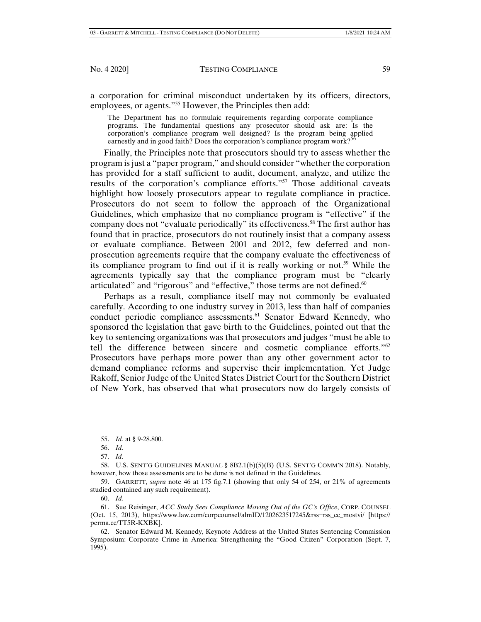a corporation for criminal misconduct undertaken by its officers, directors, employees, or agents."<sup>55</sup> However, the Principles then add:

The Department has no formulaic requirements regarding corporate compliance programs. The fundamental questions any prosecutor should ask are: Is the corporation's compliance program well designed? Is the program being applied earnestly and in good faith? Does the corporation's compliance program work?<sup>5</sup>

Finally, the Principles note that prosecutors should try to assess whether the program is just a "paper program," and should consider "whether the corporation has provided for a staff sufficient to audit, document, analyze, and utilize the results of the corporation's compliance efforts."57 Those additional caveats highlight how loosely prosecutors appear to regulate compliance in practice. Prosecutors do not seem to follow the approach of the Organizational Guidelines, which emphasize that no compliance program is "effective" if the company does not "evaluate periodically" its effectiveness.<sup>58</sup> The first author has found that in practice, prosecutors do not routinely insist that a company assess or evaluate compliance. Between 2001 and 2012, few deferred and nonprosecution agreements require that the company evaluate the effectiveness of its compliance program to find out if it is really working or not.<sup>59</sup> While the agreements typically say that the compliance program must be "clearly articulated" and "rigorous" and "effective," those terms are not defined.<sup>60</sup>

Perhaps as a result, compliance itself may not commonly be evaluated carefully. According to one industry survey in 2013, less than half of companies conduct periodic compliance assessments.<sup>61</sup> Senator Edward Kennedy, who sponsored the legislation that gave birth to the Guidelines, pointed out that the key to sentencing organizations was that prosecutors and judges "must be able to tell the difference between sincere and cosmetic compliance efforts." $62$ Prosecutors have perhaps more power than any other government actor to demand compliance reforms and supervise their implementation. Yet Judge Rakoff, Senior Judge of the United States District Court for the Southern District of New York, has observed that what prosecutors now do largely consists of

 59. GARRETT, *supra* note 46 at 175 fig.7.1 (showing that only 54 of 254, or 21% of agreements studied contained any such requirement).

 <sup>55.</sup> *Id.* at § 9-28.800.

 <sup>56.</sup> *Id*.

 <sup>57.</sup> *Id*.

 <sup>58.</sup> U.S. SENT'G GUIDELINES MANUAL § 8B2.1(b)(5)(B) (U.S. SENT'G COMM'N 2018). Notably, however, how those assessments are to be done is not defined in the Guidelines.

 <sup>60.</sup> *Id.*

 <sup>61.</sup> Sue Reisinger, *ACC Study Sees Compliance Moving Out of the GC's Office*, CORP. COUNSEL (Oct. 15, 2013), https://www.law.com/corpcounsel/almID/1202623517245&rss=rss\_cc\_mostvi/ [https:// perma.cc/TT5R-KXBK].

 <sup>62.</sup> Senator Edward M. Kennedy, Keynote Address at the United States Sentencing Commission Symposium: Corporate Crime in America: Strengthening the "Good Citizen" Corporation (Sept. 7, 1995).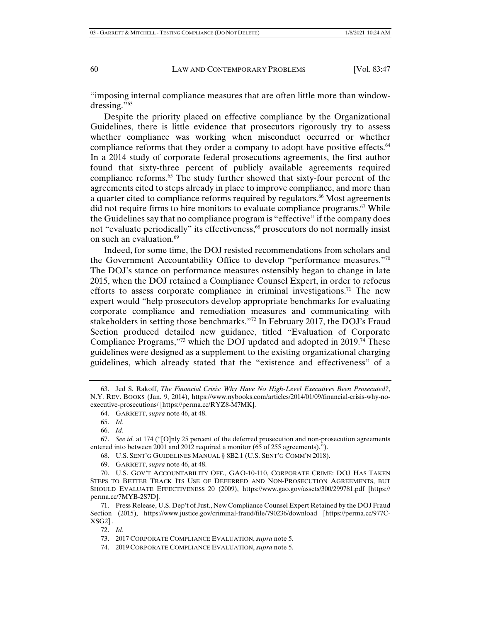"imposing internal compliance measures that are often little more than windowdressing."63

Despite the priority placed on effective compliance by the Organizational Guidelines, there is little evidence that prosecutors rigorously try to assess whether compliance was working when misconduct occurred or whether compliance reforms that they order a company to adopt have positive effects.<sup>64</sup> In a 2014 study of corporate federal prosecutions agreements, the first author found that sixty-three percent of publicly available agreements required compliance reforms.<sup>65</sup> The study further showed that sixty-four percent of the agreements cited to steps already in place to improve compliance, and more than a quarter cited to compliance reforms required by regulators.<sup>66</sup> Most agreements did not require firms to hire monitors to evaluate compliance programs.<sup> $67$ </sup> While the Guidelines say that no compliance program is "effective" if the company does not "evaluate periodically" its effectiveness,<sup>68</sup> prosecutors do not normally insist on such an evaluation.<sup>69</sup>

Indeed, for some time, the DOJ resisted recommendations from scholars and the Government Accountability Office to develop "performance measures."70 The DOJ's stance on performance measures ostensibly began to change in late 2015, when the DOJ retained a Compliance Counsel Expert, in order to refocus efforts to assess corporate compliance in criminal investigations.<sup>71</sup> The new expert would "help prosecutors develop appropriate benchmarks for evaluating corporate compliance and remediation measures and communicating with stakeholders in setting those benchmarks."72 In February 2017, the DOJ's Fraud Section produced detailed new guidance, titled "Evaluation of Corporate Compliance Programs,"73 which the DOJ updated and adopted in 2019.74 These guidelines were designed as a supplement to the existing organizational charging guidelines, which already stated that the "existence and effectiveness" of a

68. U.S. SENT'G GUIDELINES MANUAL § 8B2.1 (U.S. SENT'G COMM'N 2018).

 <sup>63.</sup> Jed S. Rakoff, *The Financial Crisis: Why Have No High-Level Executives Been Prosecuted?*, N.Y. REV. BOOKS (Jan. 9, 2014), https://www.nybooks.com/articles/2014/01/09/financial-crisis-why-noexecutive-prosecutions/ [https://perma.cc/RYZ8-M7MK].

 <sup>64.</sup> GARRETT, *supra* note 46, at 48.

 <sup>65.</sup> *Id.*

 <sup>66.</sup> *Id.*

 <sup>67.</sup> *See id.* at 174 ("[O]nly 25 percent of the deferred prosecution and non-prosecution agreements entered into between 2001 and 2012 required a monitor (65 of 255 agreements).").

 <sup>69.</sup> GARRETT, *supra* note 46, at 48.

 <sup>70.</sup> U.S. GOV'T ACCOUNTABILITY OFF., GAO-10-110, CORPORATE CRIME: DOJ HAS TAKEN STEPS TO BETTER TRACK ITS USE OF DEFERRED AND NON-PROSECUTION AGREEMENTS, BUT SHOULD EVALUATE EFFECTIVENESS 20 (2009), https://www.gao.gov/assets/300/299781.pdf [https:// perma.cc/7MYB-2S7D].

 <sup>71.</sup> Press Release, U.S. Dep't of Just., New Compliance Counsel Expert Retained by the DOJ Fraud Section (2015), https://www.justice.gov/criminal-fraud/file/790236/download [https://perma.cc/977C- $XSG2$ ].

 <sup>72.</sup> *Id.*

 <sup>73. 2017</sup> CORPORATE COMPLIANCE EVALUATION, *supra* note 5.

 <sup>74. 2019</sup> CORPORATE COMPLIANCE EVALUATION, *supra* note 5.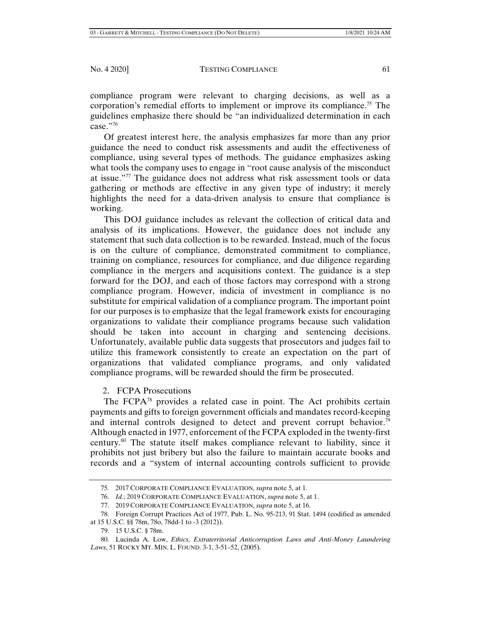compliance program were relevant to charging decisions, as well as a corporation's remedial efforts to implement or improve its compliance.<sup>75</sup> The guidelines emphasize there should be "an individualized determination in each case."76

Of greatest interest here, the analysis emphasizes far more than any prior guidance the need to conduct risk assessments and audit the effectiveness of compliance, using several types of methods. The guidance emphasizes asking what tools the company uses to engage in "root cause analysis of the misconduct at issue."77 The guidance does not address what risk assessment tools or data gathering or methods are effective in any given type of industry; it merely highlights the need for a data-driven analysis to ensure that compliance is working.

This DOJ guidance includes as relevant the collection of critical data and analysis of its implications. However, the guidance does not include any statement that such data collection is to be rewarded. Instead, much of the focus is on the culture of compliance, demonstrated commitment to compliance, training on compliance, resources for compliance, and due diligence regarding compliance in the mergers and acquisitions context. The guidance is a step forward for the DOJ, and each of those factors may correspond with a strong compliance program. However, indicia of investment in compliance is no substitute for empirical validation of a compliance program. The important point for our purposes is to emphasize that the legal framework exists for encouraging organizations to validate their compliance programs because such validation should be taken into account in charging and sentencing decisions. Unfortunately, available public data suggests that prosecutors and judges fail to utilize this framework consistently to create an expectation on the part of organizations that validated compliance programs, and only validated compliance programs, will be rewarded should the firm be prosecuted.

# 2. FCPA Prosecutions

The FCPA<sup>78</sup> provides a related case in point. The Act prohibits certain payments and gifts to foreign government officials and mandates record-keeping and internal controls designed to detect and prevent corrupt behavior.<sup>79</sup> Although enacted in 1977, enforcement of the FCPA exploded in the twenty-first century.80 The statute itself makes compliance relevant to liability, since it prohibits not just bribery but also the failure to maintain accurate books and records and a "system of internal accounting controls sufficient to provide

<sup>75</sup>*.* 2017 CORPORATE COMPLIANCE EVALUATION, *supra* note 5, at 1.

 <sup>76.</sup> *Id.*; 2019 CORPORATE COMPLIANCE EVALUATION, *supra* note 5, at 1.

 <sup>77. 2019</sup> CORPORATE COMPLIANCE EVALUATION, *supra* note 5, at 16.

 <sup>78.</sup> Foreign Corrupt Practices Act of 1977, Pub. L. No. 95-213, 91 Stat. 1494 (codified as amended at 15 U.S.C. §§ 78m, 78o, 78dd-1 to -3 (2012)).

 <sup>79. 15</sup> U.S.C. § 78m.

 <sup>80.</sup> Lucinda A. Low, *Ethics, Extraterritorial Anticorruption Laws and Anti-Money Laundering Laws*, 51 ROCKY MT. MIN. L. FOUND. 3-1, 3-51–52, (2005).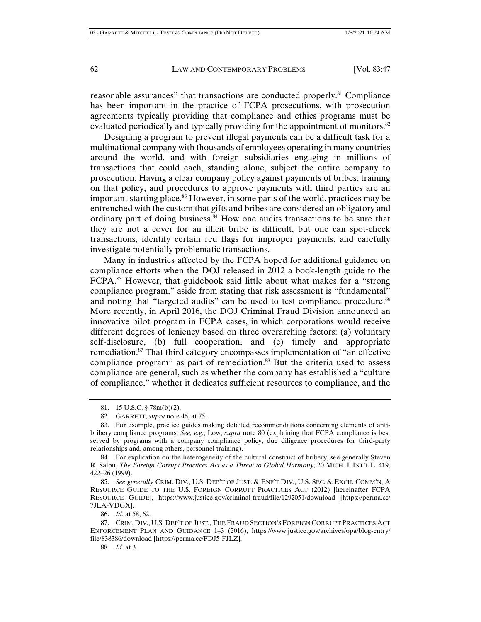reasonable assurances" that transactions are conducted properly.81 Compliance has been important in the practice of FCPA prosecutions, with prosecution agreements typically providing that compliance and ethics programs must be evaluated periodically and typically providing for the appointment of monitors.<sup>82</sup>

Designing a program to prevent illegal payments can be a difficult task for a multinational company with thousands of employees operating in many countries around the world, and with foreign subsidiaries engaging in millions of transactions that could each, standing alone, subject the entire company to prosecution. Having a clear company policy against payments of bribes, training on that policy, and procedures to approve payments with third parties are an important starting place.<sup>83</sup> However, in some parts of the world, practices may be entrenched with the custom that gifts and bribes are considered an obligatory and ordinary part of doing business. $84$  How one audits transactions to be sure that they are not a cover for an illicit bribe is difficult, but one can spot-check transactions, identify certain red flags for improper payments, and carefully investigate potentially problematic transactions.

Many in industries affected by the FCPA hoped for additional guidance on compliance efforts when the DOJ released in 2012 a book-length guide to the FCPA.<sup>85</sup> However, that guidebook said little about what makes for a "strong" compliance program," aside from stating that risk assessment is "fundamental" and noting that "targeted audits" can be used to test compliance procedure.<sup>86</sup> More recently, in April 2016, the DOJ Criminal Fraud Division announced an innovative pilot program in FCPA cases, in which corporations would receive different degrees of leniency based on three overarching factors: (a) voluntary self-disclosure, (b) full cooperation, and (c) timely and appropriate remediation.87 That third category encompasses implementation of "an effective compliance program" as part of remediation.<sup>88</sup> But the criteria used to assess compliance are general, such as whether the company has established a "culture of compliance," whether it dedicates sufficient resources to compliance, and the

 84. For explication on the heterogeneity of the cultural construct of bribery, see generally Steven R. Salbu, *The Foreign Corrupt Practices Act as a Threat to Global Harmony*, 20 MICH. J. INT'L L. 419, 422–26 (1999).

 85. *See generally* CRIM. DIV., U.S. DEP'T OF JUST. & ENF'T DIV., U.S. SEC. & EXCH. COMM'N, A RESOURCE GUIDE TO THE U.S. FOREIGN CORRUPT PRACTICES ACT (2012) [hereinafter FCPA RESOURCE GUIDE], https://www.justice.gov/criminal-fraud/file/1292051/download [https://perma.cc/ 7JLA-VDGX].

 <sup>81. 15</sup> U.S.C. § 78m(b)(2).

 <sup>82.</sup> GARRETT, *supra* note 46, at 75.

 <sup>83.</sup> For example, practice guides making detailed recommendations concerning elements of antibribery compliance programs. *See, e.g.*, Low, *supra* note 80 (explaining that FCPA compliance is best served by programs with a company compliance policy, due diligence procedures for third-party relationships and, among others, personnel training).

 <sup>86.</sup> *Id.* at 58, 62.

 <sup>87.</sup> CRIM. DIV., U.S. DEP'T OF JUST., THE FRAUD SECTION'S FOREIGN CORRUPT PRACTICES ACT ENFORCEMENT PLAN AND GUIDANCE 1–3 (2016), https://www.justice.gov/archives/opa/blog-entry/ file/838386/download [https://perma.cc/FDJ5-FJLZ].

 <sup>88.</sup> *Id.* at 3.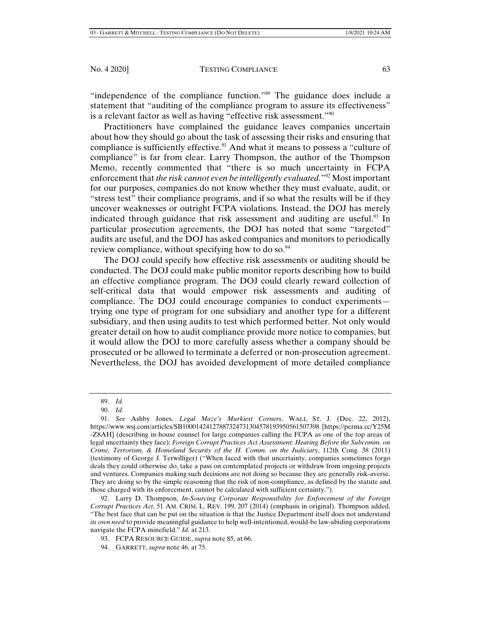"independence of the compliance function."<sup>89</sup> The guidance does include a statement that "auditing of the compliance program to assure its effectiveness" is a relevant factor as well as having "effective risk assessment."90

Practitioners have complained the guidance leaves companies uncertain about how they should go about the task of assessing their risks and ensuring that compliance is sufficiently effective.<sup>91</sup> And what it means to possess a "culture of compliance" is far from clear. Larry Thompson, the author of the Thompson Memo, recently commented that "there is so much uncertainty in FCPA enforcement that *the risk cannot even be intelligently evaluated.*"92 Most important for our purposes, companies do not know whether they must evaluate, audit, or "stress test" their compliance programs, and if so what the results will be if they uncover weaknesses or outright FCPA violations. Instead, the DOJ has merely indicated through guidance that risk assessment and auditing are useful.<sup>93</sup> In particular prosecution agreements, the DOJ has noted that some "targeted" audits are useful, and the DOJ has asked companies and monitors to periodically review compliance, without specifying how to do so.<sup>94</sup>

The DOJ could specify how effective risk assessments or auditing should be conducted. The DOJ could make public monitor reports describing how to build an effective compliance program. The DOJ could clearly reward collection of self-critical data that would empower risk assessments and auditing of compliance. The DOJ could encourage companies to conduct experiments trying one type of program for one subsidiary and another type for a different subsidiary, and then using audits to test which performed better. Not only would greater detail on how to audit compliance provide more notice to companies, but it would allow the DOJ to more carefully assess whether a company should be prosecuted or be allowed to terminate a deferred or non-prosecution agreement. Nevertheless, the DOJ has avoided development of more detailed compliance

94. GARRETT, *supra* note 46, at 75.

 <sup>89.</sup> *Id.*

 <sup>90.</sup> *Id.*

 <sup>91.</sup> *See* Ashby Jones, *Legal Maze's Murkiest Corners*, WALL ST. J. (Dec. 22, 2012), https://www.wsj.com/articles/SB10001424127887324731304578193950561507398 [https://perma.cc/Y25M -Z8AH] (describing in-house counsel for large companies calling the FCPA as one of the top areas of legal uncertainty they face); *Foreign Corrupt Practices Act Assessment: Hearing Before the Subcomm. on Crime, Terrorism, & Homeland Security of the H. Comm. on the Judiciary*, 112th Cong. 38 (2011) (testimony of George J. Terwilliger) ("When faced with that uncertainty, companies sometimes forgo deals they could otherwise do, take a pass on contemplated projects or withdraw from ongoing projects and ventures. Companies making such decisions are not doing so because they are generally risk-averse. They are doing so by the simple reasoning that the risk of non-compliance, as defined by the statute and those charged with its enforcement, cannot be calculated with sufficient certainty.").

 <sup>92.</sup> Larry D. Thompson, *In-Sourcing Corporate Responsibility for Enforcement of the Foreign Corrupt Practices Act*, 51 AM. CRIM. L. REV. 199, 207 (2014) (emphasis in original). Thompson added, "The best face that can be put on the situation is that the Justice Department itself does not understand *its own need* to provide meaningful guidance to help well-intentioned, would-be law-abiding corporations navigate the FCPA minefield." *Id.* at 213.

 <sup>93.</sup> FCPA RESOURCE GUIDE, *supra* note 85, at 66.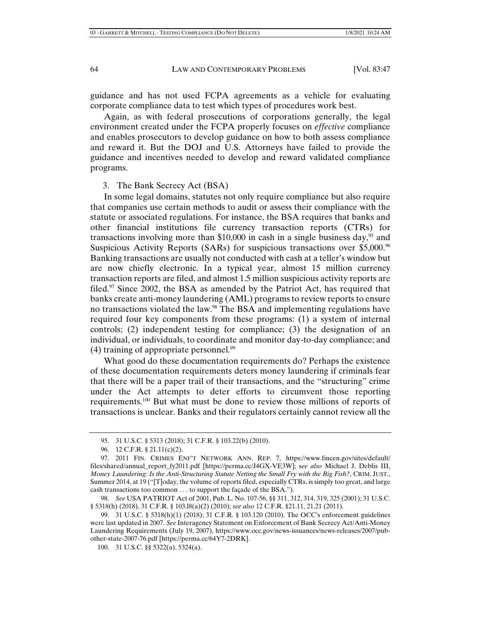guidance and has not used FCPA agreements as a vehicle for evaluating corporate compliance data to test which types of procedures work best.

Again, as with federal prosecutions of corporations generally, the legal environment created under the FCPA properly focuses on *effective* compliance and enables prosecutors to develop guidance on how to both assess compliance and reward it. But the DOJ and U.S. Attorneys have failed to provide the guidance and incentives needed to develop and reward validated compliance programs.

3. The Bank Secrecy Act (BSA)

In some legal domains, statutes not only require compliance but also require that companies use certain methods to audit or assess their compliance with the statute or associated regulations. For instance, the BSA requires that banks and other financial institutions file currency transaction reports (CTRs) for transactions involving more than \$10,000 in cash in a single business day,  $95$  and Suspicious Activity Reports (SARs) for suspicious transactions over \$5,000.96 Banking transactions are usually not conducted with cash at a teller's window but are now chiefly electronic. In a typical year, almost 15 million currency transaction reports are filed, and almost 1.5 million suspicious activity reports are filed.<sup>97</sup> Since 2002, the BSA as amended by the Patriot Act, has required that banks create anti-money laundering (AML) programs to review reports to ensure no transactions violated the law.98 The BSA and implementing regulations have required four key components from these programs: (1) a system of internal controls; (2) independent testing for compliance; (3) the designation of an individual, or individuals, to coordinate and monitor day-to-day compliance; and  $(4)$  training of appropriate personnel.<sup>99</sup>

What good do these documentation requirements do? Perhaps the existence of these documentation requirements deters money laundering if criminals fear that there will be a paper trail of their transactions, and the "structuring" crime under the Act attempts to deter efforts to circumvent those reporting requirements.100 But what must be done to review those millions of reports of transactions is unclear. Banks and their regulators certainly cannot review all the

 <sup>95. 31</sup> U.S.C. § 5313 (2018); 31 C.F.R. § 103.22(b) (2010).

 <sup>96. 12</sup> C.F.R. § 21.11(c)(2).

 <sup>97. 2011</sup> FIN. CRIMES ENF'T NETWORK ANN. REP. 7, https://www.fincen.gov/sites/default/ files/shared/annual\_report\_fy2011.pdf [https://perma.cc/J4GX-VE3W]; s*ee also* Michael J. Deblis III, *Money Laundering: Is the Anti-Structuring Statute Netting the Small Fry with the Big Fish?*, CRIM. JUST., Summer 2014, at 19 ("[T]oday, the volume of reports filed, especially CTRs, is simply too great, and large cash transactions too common . . . to support the façade of the BSA.").

 <sup>98.</sup> *See* USA PATRIOT Act of 2001, Pub. L. No. 107-56, §§ 311, 312, 314, 319, 325 (2001); 31 U.S.C. § 5318(h) (2018), 31 C.F.R. § 103.l8(a)(2) (2010); *see also* 12 C.F.R. §21.11, 21.21 (2011).

 <sup>99. 31</sup> U.S.C. § 5318(h)(1) (2018); 31 C.F.R. § 103.120 (2010). The OCC's enforcement guidelines were last updated in 2007. *See* Interagency Statement on Enforcement of Bank Secrecy Act/Anti-Money Laundering Requirements (July 19, 2007), https://www.occ.gov/news-issuances/news-releases/2007/pubother-state-2007-76.pdf [https://perma.cc/64Y7-2DRK].

 <sup>100. 31</sup> U.S.C. §§ 5322(a), 5324(a).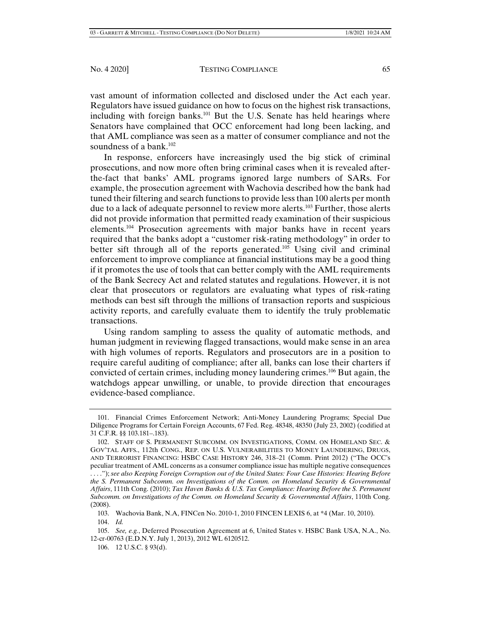vast amount of information collected and disclosed under the Act each year. Regulators have issued guidance on how to focus on the highest risk transactions, including with foreign banks.<sup>101</sup> But the U.S. Senate has held hearings where Senators have complained that OCC enforcement had long been lacking, and that AML compliance was seen as a matter of consumer compliance and not the soundness of a bank.<sup>102</sup>

In response, enforcers have increasingly used the big stick of criminal prosecutions, and now more often bring criminal cases when it is revealed afterthe-fact that banks' AML programs ignored large numbers of SARs. For example, the prosecution agreement with Wachovia described how the bank had tuned their filtering and search functions to provide less than 100 alerts per month due to a lack of adequate personnel to review more alerts.<sup>103</sup> Further, those alerts did not provide information that permitted ready examination of their suspicious elements.104 Prosecution agreements with major banks have in recent years required that the banks adopt a "customer risk-rating methodology" in order to better sift through all of the reports generated.105 Using civil and criminal enforcement to improve compliance at financial institutions may be a good thing if it promotes the use of tools that can better comply with the AML requirements of the Bank Secrecy Act and related statutes and regulations. However, it is not clear that prosecutors or regulators are evaluating what types of risk-rating methods can best sift through the millions of transaction reports and suspicious activity reports, and carefully evaluate them to identify the truly problematic transactions.

Using random sampling to assess the quality of automatic methods, and human judgment in reviewing flagged transactions, would make sense in an area with high volumes of reports. Regulators and prosecutors are in a position to require careful auditing of compliance; after all, banks can lose their charters if convicted of certain crimes, including money laundering crimes.106 But again, the watchdogs appear unwilling, or unable, to provide direction that encourages evidence-based compliance.

 <sup>101.</sup> Financial Crimes Enforcement Network; Anti-Money Laundering Programs; Special Due Diligence Programs for Certain Foreign Accounts, 67 Fed. Reg. 48348, 48350 (July 23, 2002) (codified at 31 C.F.R. §§ 103.181–.183).

 <sup>102.</sup> STAFF OF S. PERMANENT SUBCOMM. ON INVESTIGATIONS, COMM. ON HOMELAND SEC. & GOV'TAL AFFS., 112th CONG., REP. ON U.S. VULNERABILITIES TO MONEY LAUNDERING, DRUGS, AND TERRORIST FINANCING: HSBC CASE HISTORY 246, 318–21 (Comm. Print 2012) ("The OCC's peculiar treatment of AML concerns as a consumer compliance issue has multiple negative consequences . . . ."); *see also Keeping Foreign Corruption out of the United States: Four Case Histories: Hearing Before the S. Permanent Subcomm. on Investigations of the Comm. on Homeland Security & Governmental Affairs*, 111th Cong. (2010); *Tax Haven Banks & U.S. Tax Compliance: Hearing Before the S. Permanent Subcomm. on Investigations of the Comm. on Homeland Security & Governmental Affairs*, 110th Cong. (2008).

 <sup>103.</sup> Wachovia Bank, N.A, FINCen No. 2010-1, 2010 FINCEN LEXIS 6, at \*4 (Mar. 10, 2010).

 <sup>104.</sup> *Id.*

 <sup>105.</sup> *See, e.g.*, Deferred Prosecution Agreement at 6, United States v. HSBC Bank USA, N.A., No. 12-cr-00763 (E.D.N.Y. July 1, 2013), 2012 WL 6120512.

 <sup>106. 12</sup> U.S.C. § 93(d).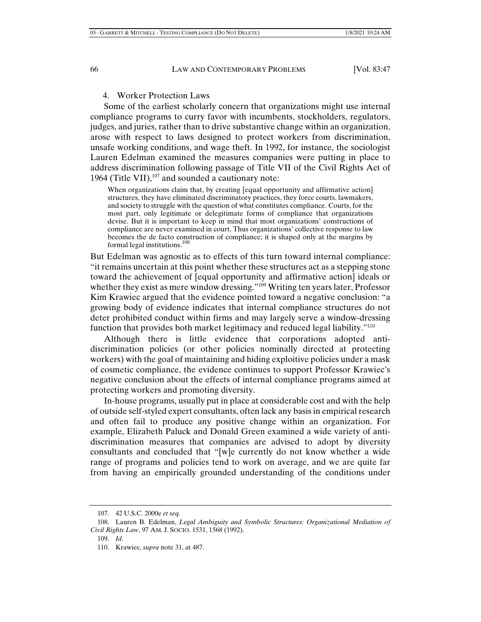#### 4. Worker Protection Laws

Some of the earliest scholarly concern that organizations might use internal compliance programs to curry favor with incumbents, stockholders, regulators, judges, and juries, rather than to drive substantive change within an organization, arose with respect to laws designed to protect workers from discrimination, unsafe working conditions, and wage theft. In 1992, for instance, the sociologist Lauren Edelman examined the measures companies were putting in place to address discrimination following passage of Title VII of the Civil Rights Act of 1964 (Title VII), $107$  and sounded a cautionary note:

When organizations claim that, by creating [equal opportunity and affirmative action] structures, they have eliminated discriminatory practices, they force courts, lawmakers, and society to struggle with the question of what constitutes compliance. Courts, for the most part, only legitimate or delegitimate forms of compliance that organizations devise. But it is important to keep in mind that most organizations' constructions of compliance are never examined in court. Thus organizations' collective response to law becomes the de facto construction of compliance; it is shaped only at the margins by formal legal institutions.<sup>108</sup>

But Edelman was agnostic as to effects of this turn toward internal compliance: "it remains uncertain at this point whether these structures act as a stepping stone toward the achievement of [equal opportunity and affirmative action] ideals or whether they exist as mere window dressing."<sup>109</sup> Writing ten years later, Professor Kim Krawiec argued that the evidence pointed toward a negative conclusion: "a growing body of evidence indicates that internal compliance structures do not deter prohibited conduct within firms and may largely serve a window-dressing function that provides both market legitimacy and reduced legal liability."110

Although there is little evidence that corporations adopted antidiscrimination policies (or other policies nominally directed at protecting workers) with the goal of maintaining and hiding exploitive policies under a mask of cosmetic compliance, the evidence continues to support Professor Krawiec's negative conclusion about the effects of internal compliance programs aimed at protecting workers and promoting diversity.

In-house programs, usually put in place at considerable cost and with the help of outside self-styled expert consultants, often lack any basis in empirical research and often fail to produce any positive change within an organization. For example, Elizabeth Paluck and Donald Green examined a wide variety of antidiscrimination measures that companies are advised to adopt by diversity consultants and concluded that "[w]e currently do not know whether a wide range of programs and policies tend to work on average, and we are quite far from having an empirically grounded understanding of the conditions under

 <sup>107. 42</sup> U.S.C. 2000e *et seq.*

 <sup>108.</sup> Lauren B. Edelman, *Legal Ambiguity and Symbolic Structures: Organizational Mediation of Civil Rights Law*, 97 AM. J. SOCIO. 1531, 1568 (1992).

 <sup>109.</sup> *Id*.

 <sup>110.</sup> Krawiec, *supra* note 31, at 487.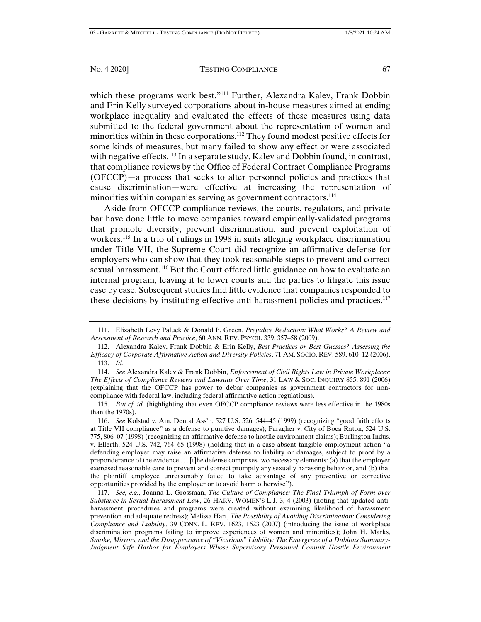which these programs work best."<sup>111</sup> Further, Alexandra Kalev, Frank Dobbin and Erin Kelly surveyed corporations about in-house measures aimed at ending workplace inequality and evaluated the effects of these measures using data submitted to the federal government about the representation of women and minorities within in these corporations.112 They found modest positive effects for some kinds of measures, but many failed to show any effect or were associated with negative effects.<sup>113</sup> In a separate study, Kalev and Dobbin found, in contrast, that compliance reviews by the Office of Federal Contract Compliance Programs (OFCCP)—a process that seeks to alter personnel policies and practices that cause discrimination—were effective at increasing the representation of minorities within companies serving as government contractors.<sup>114</sup>

Aside from OFCCP compliance reviews, the courts, regulators, and private bar have done little to move companies toward empirically-validated programs that promote diversity, prevent discrimination, and prevent exploitation of workers.<sup>115</sup> In a trio of rulings in 1998 in suits alleging workplace discrimination under Title VII, the Supreme Court did recognize an affirmative defense for employers who can show that they took reasonable steps to prevent and correct sexual harassment.116 But the Court offered little guidance on how to evaluate an internal program, leaving it to lower courts and the parties to litigate this issue case by case. Subsequent studies find little evidence that companies responded to these decisions by instituting effective anti-harassment policies and practices.<sup>117</sup>

 115. *But cf. id.* (highlighting that even OFCCP compliance reviews were less effective in the 1980s than the 1970s).

 <sup>111.</sup> Elizabeth Levy Paluck & Donald P. Green, *Prejudice Reduction: What Works? A Review and Assessment of Research and Practice*, 60 ANN. REV. PSYCH. 339, 357–58 (2009).

 <sup>112.</sup> Alexandra Kalev, Frank Dobbin & Erin Kelly, *Best Practices or Best Guesses? Assessing the Efficacy of Corporate Affirmative Action and Diversity Policies*, 71 AM. SOCIO. REV. 589, 610–12 (2006). 113. *Id.*

 <sup>114.</sup> *See* Alexandra Kalev & Frank Dobbin, *Enforcement of Civil Rights Law in Private Workplaces: The Effects of Compliance Reviews and Lawsuits Over Time*, 31 LAW & SOC. INQUIRY 855, 891 (2006) (explaining that the OFCCP has power to debar companies as government contractors for noncompliance with federal law, including federal affirmative action regulations).

 <sup>116.</sup> *See* Kolstad v. Am. Dental Ass'n, 527 U.S. 526, 544–45 (1999) (recognizing "good faith efforts at Title VII compliance" as a defense to punitive damages); Faragher v. City of Boca Raton, 524 U.S. 775, 806–07 (1998) (recognizing an affirmative defense to hostile environment claims); Burlington Indus. v. Ellerth, 524 U.S. 742, 764–65 (1998) (holding that in a case absent tangible employment action "a defending employer may raise an affirmative defense to liability or damages, subject to proof by a preponderance of the evidence . . . [t]he defense comprises two necessary elements: (a) that the employer exercised reasonable care to prevent and correct promptly any sexually harassing behavior, and (b) that the plaintiff employee unreasonably failed to take advantage of any preventive or corrective opportunities provided by the employer or to avoid harm otherwise").

 <sup>117.</sup> *See, e.g.*, Joanna L. Grossman, *The Culture of Compliance: The Final Triumph of Form over Substance in Sexual Harassment Law*, 26 HARV. WOMEN'S L.J. 3, 4 (2003) (noting that updated antiharassment procedures and programs were created without examining likelihood of harassment prevention and adequate redress); Melissa Hart, *The Possibility of Avoiding Discrimination: Considering Compliance and Liability*, 39 CONN. L. REV. 1623, 1623 (2007) (introducing the issue of workplace discrimination programs failing to improve experiences of women and minorities); John H. Marks, *Smoke, Mirrors, and the Disappearance of "Vicarious" Liability: The Emergence of a Dubious Summary-Judgment Safe Harbor for Employers Whose Supervisory Personnel Commit Hostile Environment*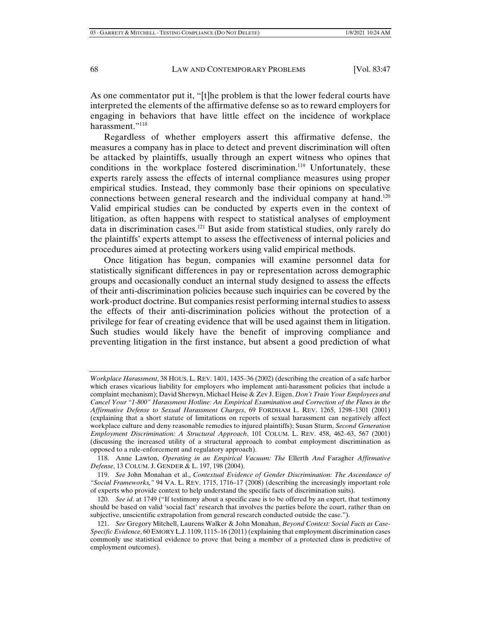As one commentator put it, "[t]he problem is that the lower federal courts have interpreted the elements of the affirmative defense so as to reward employers for engaging in behaviors that have little effect on the incidence of workplace harassment."118

Regardless of whether employers assert this affirmative defense, the measures a company has in place to detect and prevent discrimination will often be attacked by plaintiffs, usually through an expert witness who opines that conditions in the workplace fostered discrimination.<sup>119</sup> Unfortunately, these experts rarely assess the effects of internal compliance measures using proper empirical studies. Instead, they commonly base their opinions on speculative connections between general research and the individual company at hand.<sup>120</sup> Valid empirical studies can be conducted by experts even in the context of litigation, as often happens with respect to statistical analyses of employment data in discrimination cases.121 But aside from statistical studies, only rarely do the plaintiffs' experts attempt to assess the effectiveness of internal policies and procedures aimed at protecting workers using valid empirical methods.

Once litigation has begun, companies will examine personnel data for statistically significant differences in pay or representation across demographic groups and occasionally conduct an internal study designed to assess the effects of their anti-discrimination policies because such inquiries can be covered by the work-product doctrine. But companies resist performing internal studies to assess the effects of their anti-discrimination policies without the protection of a privilege for fear of creating evidence that will be used against them in litigation. Such studies would likely have the benefit of improving compliance and preventing litigation in the first instance, but absent a good prediction of what

*Workplace Harassment*, 38 HOUS. L. REV. 1401, 1435–36 (2002) (describing the creation of a safe harbor which erases vicarious liability for employers who implement anti-harassment policies that include a complaint mechanism); David Sherwyn, Michael Heise & Zev J. Eigen, *Don't Train Your Employees and Cancel Your "1-800" Harassment Hotline: An Empirical Examination and Correction of the Flaws in the Affirmative Defense to Sexual Harassment Charges*, 69 FORDHAM L. REV. 1265, 1298–1301 (2001) (explaining that a short statute of limitations on reports of sexual harassment can negatively affect workplace culture and deny reasonable remedies to injured plaintiffs); Susan Sturm, *Second Generation Employment Discrimination: A Structural Approach*, 101 COLUM. L. REV. 458, 462–63, 567 (2001) (discussing the increased utility of a structural approach to combat employment discrimination as opposed to a rule-enforcement and regulatory approach).

 <sup>118.</sup> Anne Lawton, *Operating in an Empirical Vacuum: The* Ellerth *And* Faragher *Affirmative Defense*, 13 COLUM. J. GENDER & L. 197, 198 (2004).

 <sup>119.</sup> *See* John Monahan et al., *Contextual Evidence of Gender Discrimination: The Ascendance of "Social Frameworks,"* 94 VA. L. REV. 1715, 1716–17 (2008) (describing the increasingly important role of experts who provide context to help understand the specific facts of discrimination suits).

 <sup>120.</sup> *See id.* at 1749 ("If testimony about a specific case is to be offered by an expert, that testimony should be based on valid 'social fact' research that involves the parties before the court, rather than on subjective, unscientific extrapolation from general research conducted outside the case.").

 <sup>121.</sup> *See* Gregory Mitchell, Laurens Walker & John Monahan, *Beyond Context: Social Facts as Case-Specific Evidence*, 60 EMORY L.J. 1109, 1115–16 (2011) (explaining that employment discrimination cases commonly use statistical evidence to prove that being a member of a protected class is predictive of employment outcomes).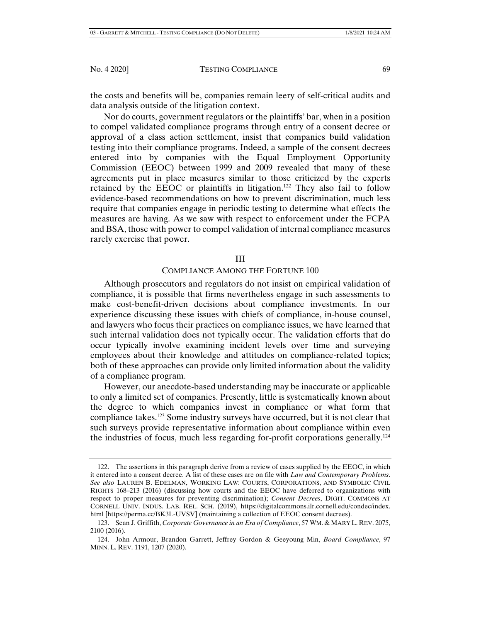the costs and benefits will be, companies remain leery of self-critical audits and data analysis outside of the litigation context.

Nor do courts, government regulators or the plaintiffs' bar, when in a position to compel validated compliance programs through entry of a consent decree or approval of a class action settlement, insist that companies build validation testing into their compliance programs. Indeed, a sample of the consent decrees entered into by companies with the Equal Employment Opportunity Commission (EEOC) between 1999 and 2009 revealed that many of these agreements put in place measures similar to those criticized by the experts retained by the EEOC or plaintiffs in litigation.<sup>122</sup> They also fail to follow evidence-based recommendations on how to prevent discrimination, much less require that companies engage in periodic testing to determine what effects the measures are having. As we saw with respect to enforcement under the FCPA and BSA, those with power to compel validation of internal compliance measures rarely exercise that power.

#### III

#### COMPLIANCE AMONG THE FORTUNE 100

Although prosecutors and regulators do not insist on empirical validation of compliance, it is possible that firms nevertheless engage in such assessments to make cost-benefit-driven decisions about compliance investments. In our experience discussing these issues with chiefs of compliance, in-house counsel, and lawyers who focus their practices on compliance issues, we have learned that such internal validation does not typically occur. The validation efforts that do occur typically involve examining incident levels over time and surveying employees about their knowledge and attitudes on compliance-related topics; both of these approaches can provide only limited information about the validity of a compliance program.

However, our anecdote-based understanding may be inaccurate or applicable to only a limited set of companies. Presently, little is systematically known about the degree to which companies invest in compliance or what form that compliance takes.123 Some industry surveys have occurred, but it is not clear that such surveys provide representative information about compliance within even the industries of focus, much less regarding for-profit corporations generally.<sup>124</sup>

 <sup>122.</sup> The assertions in this paragraph derive from a review of cases supplied by the EEOC, in which it entered into a consent decree. A list of these cases are on file with *Law and Contemporary Problems*. *See also* LAUREN B. EDELMAN, WORKING LAW: COURTS, CORPORATIONS, AND SYMBOLIC CIVIL RIGHTS 168–213 (2016) (discussing how courts and the EEOC have deferred to organizations with respect to proper measures for preventing discrimination); *Consent Decrees*, DIGIT. COMMONS AT CORNELL UNIV. INDUS. LAB. REL. SCH. (2019), https://digitalcommons.ilr.cornell.edu/condec/index. html [https://perma.cc/BK3L-UVSV] (maintaining a collection of EEOC consent decrees).

 <sup>123.</sup> Sean J. Griffith, *Corporate Governance in an Era of Compliance*, 57 WM. & MARY L. REV. 2075, 2100 (2016).

 <sup>124.</sup> John Armour, Brandon Garrett, Jeffrey Gordon & Geeyoung Min, *Board Compliance*, 97 MINN. L. REV. 1191, 1207 (2020).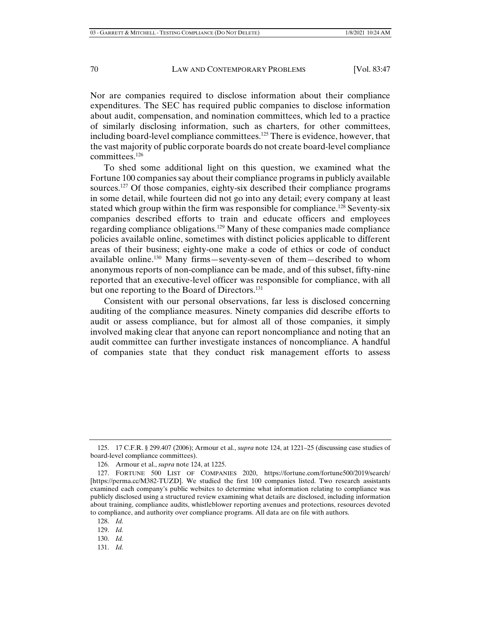Nor are companies required to disclose information about their compliance expenditures. The SEC has required public companies to disclose information about audit, compensation, and nomination committees, which led to a practice of similarly disclosing information, such as charters, for other committees, including board-level compliance committees.125 There is evidence, however, that the vast majority of public corporate boards do not create board-level compliance committees.<sup>126</sup>

To shed some additional light on this question, we examined what the Fortune 100 companies say about their compliance programs in publicly available sources.127 Of those companies, eighty-six described their compliance programs in some detail, while fourteen did not go into any detail; every company at least stated which group within the firm was responsible for compliance.<sup>128</sup> Seventy-six companies described efforts to train and educate officers and employees regarding compliance obligations.129 Many of these companies made compliance policies available online, sometimes with distinct policies applicable to different areas of their business; eighty-one make a code of ethics or code of conduct available online.130 Many firms—seventy-seven of them—described to whom anonymous reports of non-compliance can be made, and of this subset, fifty-nine reported that an executive-level officer was responsible for compliance, with all but one reporting to the Board of Directors.<sup>131</sup>

Consistent with our personal observations, far less is disclosed concerning auditing of the compliance measures. Ninety companies did describe efforts to audit or assess compliance, but for almost all of those companies, it simply involved making clear that anyone can report noncompliance and noting that an audit committee can further investigate instances of noncompliance. A handful of companies state that they conduct risk management efforts to assess

- 130. *Id.*
- 131. *Id.*

 <sup>125. 17</sup> C.F.R. § 299.407 (2006); Armour et al., *supra* note 124, at 1221–25 (discussing case studies of board-level compliance committees).

 <sup>126.</sup> Armour et al., *supra* note 124, at 1225.

 <sup>127.</sup> FORTUNE 500 LIST OF COMPANIES 2020, https://fortune.com/fortune500/2019/search/ [https://perma.cc/M382-TUZD]. We studied the first 100 companies listed. Two research assistants examined each company's public websites to determine what information relating to compliance was publicly disclosed using a structured review examining what details are disclosed, including information about training, compliance audits, whistleblower reporting avenues and protections, resources devoted to compliance, and authority over compliance programs. All data are on file with authors.

 <sup>128.</sup> *Id.*

 <sup>129.</sup> *Id.*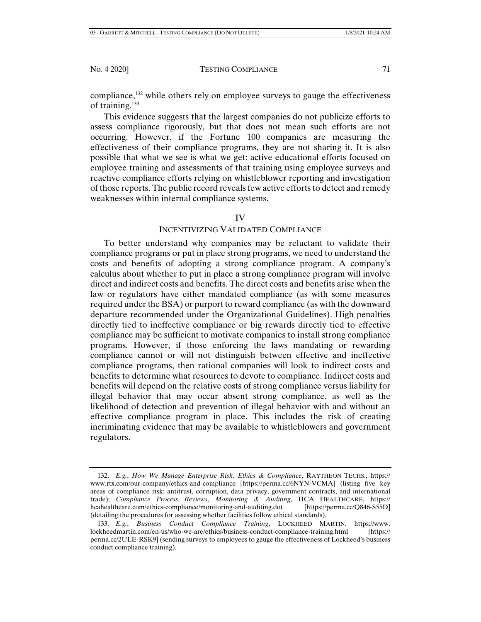compliance,  $132$  while others rely on employee surveys to gauge the effectiveness of training.<sup>133</sup>

This evidence suggests that the largest companies do not publicize efforts to assess compliance rigorously, but that does not mean such efforts are not occurring. However, if the Fortune 100 companies are measuring the effectiveness of their compliance programs, they are not sharing it. It is also possible that what we see is what we get: active educational efforts focused on employee training and assessments of that training using employee surveys and reactive compliance efforts relying on whistleblower reporting and investigation of those reports. The public record reveals few active efforts to detect and remedy weaknesses within internal compliance systems.

# IV

#### INCENTIVIZING VALIDATED COMPLIANCE

To better understand why companies may be reluctant to validate their compliance programs or put in place strong programs, we need to understand the costs and benefits of adopting a strong compliance program. A company's calculus about whether to put in place a strong compliance program will involve direct and indirect costs and benefits. The direct costs and benefits arise when the law or regulators have either mandated compliance (as with some measures required under the BSA) or purport to reward compliance (as with the downward departure recommended under the Organizational Guidelines). High penalties directly tied to ineffective compliance or big rewards directly tied to effective compliance may be sufficient to motivate companies to install strong compliance programs. However, if those enforcing the laws mandating or rewarding compliance cannot or will not distinguish between effective and ineffective compliance programs, then rational companies will look to indirect costs and benefits to determine what resources to devote to compliance. Indirect costs and benefits will depend on the relative costs of strong compliance versus liability for illegal behavior that may occur absent strong compliance, as well as the likelihood of detection and prevention of illegal behavior with and without an effective compliance program in place. This includes the risk of creating incriminating evidence that may be available to whistleblowers and government regulators.

 <sup>132.</sup> *E.g.*, *How We Manage Enterprise Risk*, *Ethics & Compliance*, RAYTHEON TECHS., https:// www.rtx.com/our-company/ethics-and-compliance [https://perma.cc/6NYN-VCMA] (listing five key areas of compliance risk: antitrust, corruption, data privacy, government contracts, and international trade); *Compliance Process Reviews*, *Monitoring & Auditing*, HCA HEALTHCARE, https:// hcahealthcare.com/ethics-compliance/monitoring-and-auditing.dot [https://perma.cc/Q846-S55D] (detailing the procedures for assessing whether facilities follow ethical standards).

 <sup>133.</sup> *E.g.*, *Business Conduct Compliance Training*, LOCKHEED MARTIN, https://www. lockheedmartin.com/en-us/who-we-are/ethics/business-conduct-compliance-training.html [https:// perma.cc/2ULE-RSK9] (sending surveys to employees to gauge the effectiveness of Lockheed's business conduct compliance training).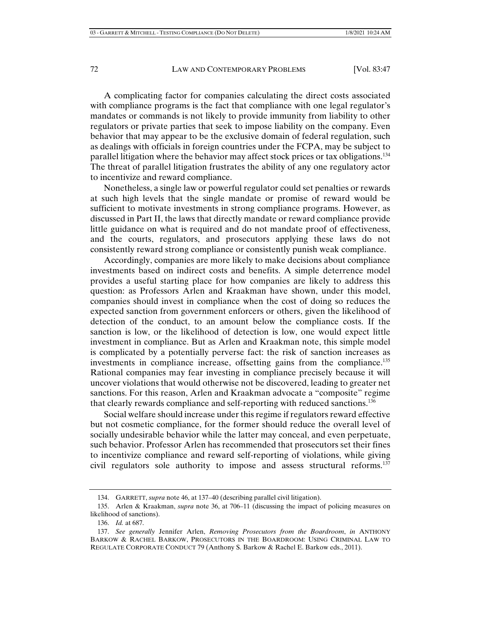A complicating factor for companies calculating the direct costs associated with compliance programs is the fact that compliance with one legal regulator's mandates or commands is not likely to provide immunity from liability to other regulators or private parties that seek to impose liability on the company. Even behavior that may appear to be the exclusive domain of federal regulation, such as dealings with officials in foreign countries under the FCPA, may be subject to parallel litigation where the behavior may affect stock prices or tax obligations.134 The threat of parallel litigation frustrates the ability of any one regulatory actor to incentivize and reward compliance.

Nonetheless, a single law or powerful regulator could set penalties or rewards at such high levels that the single mandate or promise of reward would be sufficient to motivate investments in strong compliance programs. However, as discussed in Part II, the laws that directly mandate or reward compliance provide little guidance on what is required and do not mandate proof of effectiveness, and the courts, regulators, and prosecutors applying these laws do not consistently reward strong compliance or consistently punish weak compliance.

Accordingly, companies are more likely to make decisions about compliance investments based on indirect costs and benefits. A simple deterrence model provides a useful starting place for how companies are likely to address this question: as Professors Arlen and Kraakman have shown, under this model, companies should invest in compliance when the cost of doing so reduces the expected sanction from government enforcers or others, given the likelihood of detection of the conduct, to an amount below the compliance costs. If the sanction is low, or the likelihood of detection is low, one would expect little investment in compliance. But as Arlen and Kraakman note, this simple model is complicated by a potentially perverse fact: the risk of sanction increases as investments in compliance increase, offsetting gains from the compliance.<sup>135</sup> Rational companies may fear investing in compliance precisely because it will uncover violations that would otherwise not be discovered, leading to greater net sanctions. For this reason, Arlen and Kraakman advocate a "composite" regime that clearly rewards compliance and self-reporting with reduced sanctions.<sup>136</sup>

Social welfare should increase under this regime if regulators reward effective but not cosmetic compliance, for the former should reduce the overall level of socially undesirable behavior while the latter may conceal, and even perpetuate, such behavior. Professor Arlen has recommended that prosecutors set their fines to incentivize compliance and reward self-reporting of violations, while giving civil regulators sole authority to impose and assess structural reforms.137

 <sup>134.</sup> GARRETT, *supra* note 46, at 137–40 (describing parallel civil litigation).

 <sup>135.</sup> Arlen & Kraakman, *supra* note 36, at 706–11 (discussing the impact of policing measures on likelihood of sanctions).

 <sup>136.</sup> *Id.* at 687.

 <sup>137.</sup> *See generally* Jennifer Arlen, *Removing Prosecutors from the Boardroom*, *in* ANTHONY BARKOW & RACHEL BARKOW, PROSECUTORS IN THE BOARDROOM: USING CRIMINAL LAW TO REGULATE CORPORATE CONDUCT 79 (Anthony S. Barkow & Rachel E. Barkow eds., 2011).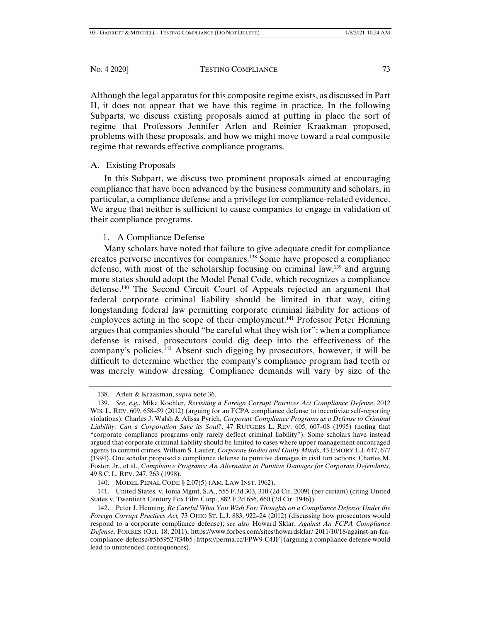Although the legal apparatus for this composite regime exists, as discussed in Part II, it does not appear that we have this regime in practice. In the following Subparts, we discuss existing proposals aimed at putting in place the sort of regime that Professors Jennifer Arlen and Reinier Kraakman proposed, problems with these proposals, and how we might move toward a real composite regime that rewards effective compliance programs.

# A. Existing Proposals

In this Subpart, we discuss two prominent proposals aimed at encouraging compliance that have been advanced by the business community and scholars, in particular, a compliance defense and a privilege for compliance-related evidence. We argue that neither is sufficient to cause companies to engage in validation of their compliance programs.

# 1. A Compliance Defense

Many scholars have noted that failure to give adequate credit for compliance creates perverse incentives for companies.138 Some have proposed a compliance defense, with most of the scholarship focusing on criminal law,  $139$  and arguing more states should adopt the Model Penal Code, which recognizes a compliance defense.140 The Second Circuit Court of Appeals rejected an argument that federal corporate criminal liability should be limited in that way, citing longstanding federal law permitting corporate criminal liability for actions of employees acting in the scope of their employment.<sup>141</sup> Professor Peter Henning argues that companies should "be careful what they wish for": when a compliance defense is raised, prosecutors could dig deep into the effectiveness of the company's policies.<sup>142</sup> Absent such digging by prosecutors, however, it will be difficult to determine whether the company's compliance program had teeth or was merely window dressing. Compliance demands will vary by size of the

 <sup>138.</sup> Arlen & Kraakman, *supra* note 36.

 <sup>139.</sup> *See*, *e.g.*, Mike Koehler, *Revisiting a Foreign Corrupt Practices Act Compliance Defense*, 2012 WIS. L. REV. 609, 658–59 (2012) (arguing for an FCPA compliance defense to incentivize self-reporting violations); Charles J. Walsh & Alissa Pyrich, *Corporate Compliance Programs as a Defense to Criminal Liability: Can a Corporation Save its Soul?*, 47 RUTGERS L. REV. 605, 607–08 (1995) (noting that "corporate compliance programs only rarely deflect criminal liability"). Some scholars have instead argued that corporate criminal liability should be limited to cases where upper management encouraged agents to commit crimes. William S. Laufer, *Corporate Bodies and Guilty Minds*, 43 EMORY L.J. 647, 677 (1994). One scholar proposed a compliance defense to punitive damages in civil tort actions. Charles M. Foster, Jr., et al., *Compliance Programs: An Alternative to Punitive Damages for Corporate Defendants*, 49 S.C. L. REV. 247, 263 (1998).

 <sup>140.</sup> MODEL PENAL CODE § 2.07(5) (AM. LAW INST. 1962).

 <sup>141.</sup> United States. v. Ionia Mgmt. S.A., 555 F.3d 303, 310 (2d Cir. 2009) (per curiam) (citing United States v. Twentieth Century Fox Film Corp., 882 F.2d 656, 660 (2d Cir. 1946)).

 <sup>142.</sup> Peter J. Henning, *Be Careful What You Wish For: Thoughts on a Compliance Defense Under the Foreign Corrupt Practices Act,* 73 OHIO ST. L.J. 883, 922–24 (2012) (discussing how prosecutors would respond to a corporate compliance defense); *see also* Howard Sklar, *Against An FCPA Compliance Defense*, FORBES (Oct. 18, 2011), https://www.forbes.com/sites/howardsklar/ 2011/10/18/against-an-fcacompliance-defense/#5b59527f34b5 [https://perma.cc/FPW9-C4JF] (arguing a compliance defense would lead to unintended consequences).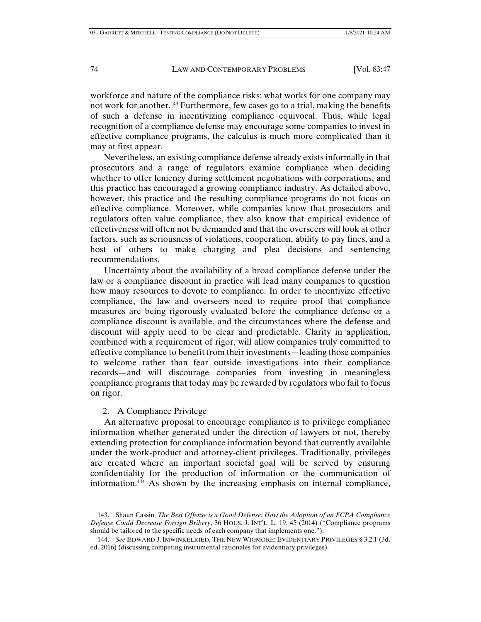workforce and nature of the compliance risks: what works for one company may not work for another.143 Furthermore, few cases go to a trial, making the benefits of such a defense in incentivizing compliance equivocal. Thus, while legal recognition of a compliance defense may encourage some companies to invest in effective compliance programs, the calculus is much more complicated than it may at first appear.

Nevertheless, an existing compliance defense already exists informally in that prosecutors and a range of regulators examine compliance when deciding whether to offer leniency during settlement negotiations with corporations, and this practice has encouraged a growing compliance industry. As detailed above, however, this practice and the resulting compliance programs do not focus on effective compliance. Moreover, while companies know that prosecutors and regulators often value compliance, they also know that empirical evidence of effectiveness will often not be demanded and that the overseers will look at other factors, such as seriousness of violations, cooperation, ability to pay fines, and a host of others to make charging and plea decisions and sentencing recommendations.

Uncertainty about the availability of a broad compliance defense under the law or a compliance discount in practice will lead many companies to question how many resources to devote to compliance. In order to incentivize effective compliance, the law and overseers need to require proof that compliance measures are being rigorously evaluated before the compliance defense or a compliance discount is available, and the circumstances where the defense and discount will apply need to be clear and predictable. Clarity in application, combined with a requirement of rigor, will allow companies truly committed to effective compliance to benefit from their investments—leading those companies to welcome rather than fear outside investigations into their compliance records—and will discourage companies from investing in meaningless compliance programs that today may be rewarded by regulators who fail to focus on rigor.

### 2. A Compliance Privilege

An alternative proposal to encourage compliance is to privilege compliance information whether generated under the direction of lawyers or not, thereby extending protection for compliance information beyond that currently available under the work-product and attorney-client privileges. Traditionally, privileges are created where an important societal goal will be served by ensuring confidentiality for the production of information or the communication of information.144 As shown by the increasing emphasis on internal compliance,

 <sup>143.</sup> Shaun Cassin, *The Best Offense is a Good Defense: How the Adoption of an FCPA Compliance Defense Could Decrease Foreign Bribery*, 36 HOUS. J. INT'L. L. 19, 45 (2014) ("Compliance programs should be tailored to the specific needs of each company that implements one.").

 <sup>144.</sup> *See* EDWARD J.IMWINKELRIED, THE NEW WIGMORE: EVIDENTIARY PRIVILEGES § 3.2.1 (3d. ed. 2016) (discussing competing instrumental rationales for evidentiary privileges).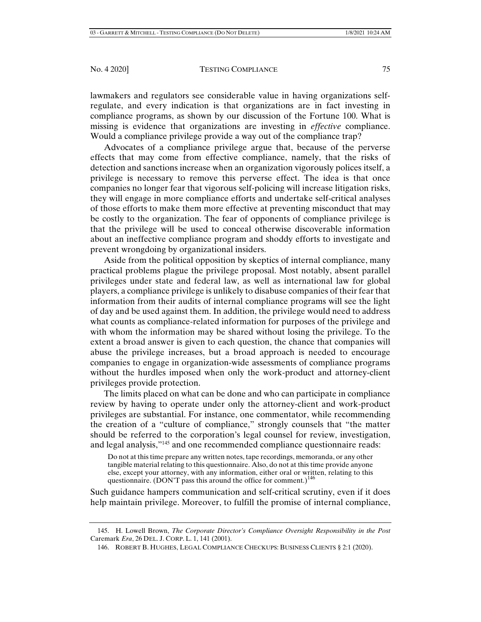lawmakers and regulators see considerable value in having organizations selfregulate, and every indication is that organizations are in fact investing in compliance programs, as shown by our discussion of the Fortune 100. What is missing is evidence that organizations are investing in *effective* compliance. Would a compliance privilege provide a way out of the compliance trap?

Advocates of a compliance privilege argue that, because of the perverse effects that may come from effective compliance, namely, that the risks of detection and sanctions increase when an organization vigorously polices itself, a privilege is necessary to remove this perverse effect. The idea is that once companies no longer fear that vigorous self-policing will increase litigation risks, they will engage in more compliance efforts and undertake self-critical analyses of those efforts to make them more effective at preventing misconduct that may be costly to the organization. The fear of opponents of compliance privilege is that the privilege will be used to conceal otherwise discoverable information about an ineffective compliance program and shoddy efforts to investigate and prevent wrongdoing by organizational insiders.

Aside from the political opposition by skeptics of internal compliance, many practical problems plague the privilege proposal. Most notably, absent parallel privileges under state and federal law, as well as international law for global players, a compliance privilege is unlikely to disabuse companies of their fear that information from their audits of internal compliance programs will see the light of day and be used against them. In addition, the privilege would need to address what counts as compliance-related information for purposes of the privilege and with whom the information may be shared without losing the privilege. To the extent a broad answer is given to each question, the chance that companies will abuse the privilege increases, but a broad approach is needed to encourage companies to engage in organization-wide assessments of compliance programs without the hurdles imposed when only the work-product and attorney-client privileges provide protection.

The limits placed on what can be done and who can participate in compliance review by having to operate under only the attorney-client and work-product privileges are substantial. For instance, one commentator, while recommending the creation of a "culture of compliance," strongly counsels that "the matter should be referred to the corporation's legal counsel for review, investigation, and legal analysis,"145 and one recommended compliance questionnaire reads:

Do not at this time prepare any written notes, tape recordings, memoranda, or any other tangible material relating to this questionnaire. Also, do not at this time provide anyone else, except your attorney, with any information, either oral or written, relating to this questionnaire. (DON'T pass this around the office for comment.)<sup>146</sup>

Such guidance hampers communication and self-critical scrutiny, even if it does help maintain privilege. Moreover, to fulfill the promise of internal compliance,

 <sup>145.</sup> H. Lowell Brown, *The Corporate Director's Compliance Oversight Responsibility in the Post*  Caremark *Era*, 26 DEL. J. CORP. L. 1, 141 (2001).

 <sup>146.</sup> ROBERT B. HUGHES, LEGAL COMPLIANCE CHECKUPS: BUSINESS CLIENTS § 2:1 (2020).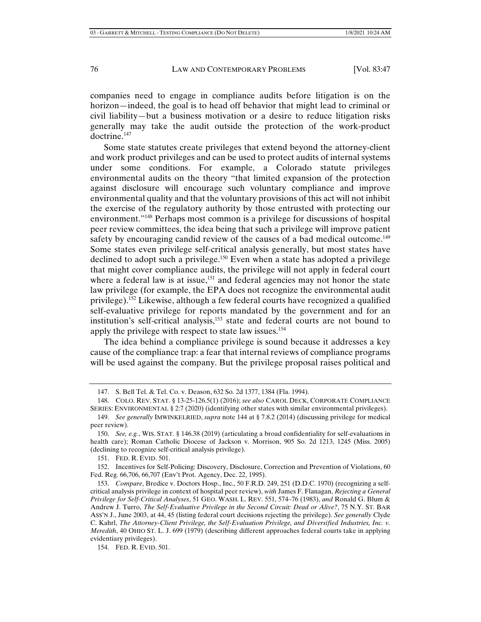companies need to engage in compliance audits before litigation is on the horizon—indeed, the goal is to head off behavior that might lead to criminal or civil liability—but a business motivation or a desire to reduce litigation risks generally may take the audit outside the protection of the work-product doctrine.147

Some state statutes create privileges that extend beyond the attorney-client and work product privileges and can be used to protect audits of internal systems under some conditions. For example, a Colorado statute privileges environmental audits on the theory "that limited expansion of the protection against disclosure will encourage such voluntary compliance and improve environmental quality and that the voluntary provisions of this act will not inhibit the exercise of the regulatory authority by those entrusted with protecting our environment."148 Perhaps most common is a privilege for discussions of hospital peer review committees, the idea being that such a privilege will improve patient safety by encouraging candid review of the causes of a bad medical outcome.<sup>149</sup> Some states even privilege self-critical analysis generally, but most states have declined to adopt such a privilege.<sup>150</sup> Even when a state has adopted a privilege that might cover compliance audits, the privilege will not apply in federal court where a federal law is at issue,<sup>151</sup> and federal agencies may not honor the state law privilege (for example, the EPA does not recognize the environmental audit privilege).<sup>152</sup> Likewise, although a few federal courts have recognized a qualified self-evaluative privilege for reports mandated by the government and for an institution's self-critical analysis,153 state and federal courts are not bound to apply the privilege with respect to state law issues.<sup>154</sup>

The idea behind a compliance privilege is sound because it addresses a key cause of the compliance trap: a fear that internal reviews of compliance programs will be used against the company. But the privilege proposal raises political and

151. FED. R. EVID. 501.

 152. Incentives for Self-Policing: Discovery, Disclosure, Correction and Prevention of Violations, 60 Fed. Reg. 66,706, 66,707 (Env't Prot. Agency, Dec. 22, 1995).

 <sup>147.</sup> S. Bell Tel. & Tel. Co. v. Deason, 632 So. 2d 1377, 1384 (Fla. 1994).

 <sup>148.</sup> COLO. REV. STAT. § 13-25-126.5(1) (2016); *see also* CAROL DECK, CORPORATE COMPLIANCE SERIES: ENVIRONMENTAL § 2:7 (2020) (identifying other states with similar environmental privileges).

 <sup>149.</sup> *See generally* IMWINKELRIED, *supra* note 144 at § 7.8.2 (2014) (discussing privilege for medical peer review).

 <sup>150.</sup> *See, e.g.*, WIS. STAT. § 146.38 (2019) (articulating a broad confidentiality for self-evaluations in health care); Roman Catholic Diocese of Jackson v. Morrison, 905 So. 2d 1213, 1245 (Miss. 2005) (declining to recognize self-critical analysis privilege).

 <sup>153.</sup> *Compare*, Bredice v. Doctors Hosp., Inc., 50 F.R.D. 249, 251 (D.D.C. 1970) (recognizing a selfcritical analysis privilege in context of hospital peer review), *with* James F. Flanagan, *Rejecting a General Privilege for Self-Critical Analyses*, 51 GEO. WASH. L. REV. 551, 574–76 (1983), *and* Ronald G. Blum & Andrew J. Turro, *The Self-Evaluative Privilege in the Second Circuit: Dead or Alive?*, 75 N.Y. ST. BAR ASS'N J., June 2003, at 44, 45 (listing federal court decisions rejecting the privilege). *See generally* Clyde C. Kahrl, *The Attorney-Client Privilege, the Self-Evaluation Privilege, and Diversified Industries, Inc. v. Meredith*, 40 OHIO ST. L. J. 699 (1979) (describing different approaches federal courts take in applying evidentiary privileges).

 <sup>154.</sup> FED. R. EVID. 501.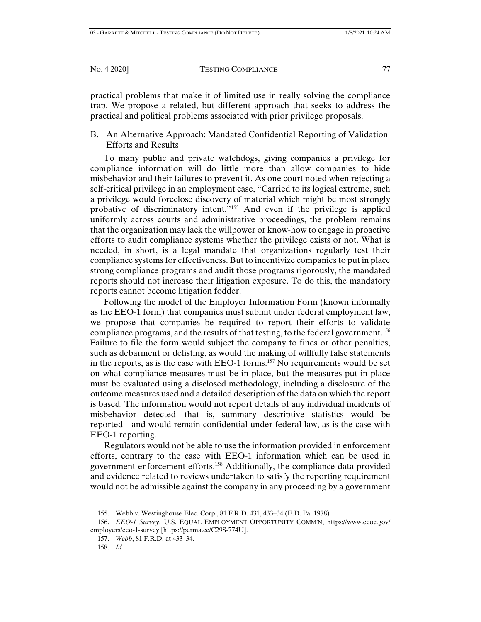practical problems that make it of limited use in really solving the compliance trap. We propose a related, but different approach that seeks to address the practical and political problems associated with prior privilege proposals.

# B. An Alternative Approach: Mandated Confidential Reporting of Validation Efforts and Results

To many public and private watchdogs, giving companies a privilege for compliance information will do little more than allow companies to hide misbehavior and their failures to prevent it. As one court noted when rejecting a self-critical privilege in an employment case, "Carried to its logical extreme, such a privilege would foreclose discovery of material which might be most strongly probative of discriminatory intent."155 And even if the privilege is applied uniformly across courts and administrative proceedings, the problem remains that the organization may lack the willpower or know-how to engage in proactive efforts to audit compliance systems whether the privilege exists or not. What is needed, in short, is a legal mandate that organizations regularly test their compliance systems for effectiveness. But to incentivize companies to put in place strong compliance programs and audit those programs rigorously, the mandated reports should not increase their litigation exposure. To do this, the mandatory reports cannot become litigation fodder.

Following the model of the Employer Information Form (known informally as the EEO-1 form) that companies must submit under federal employment law, we propose that companies be required to report their efforts to validate compliance programs, and the results of that testing, to the federal government.<sup>156</sup> Failure to file the form would subject the company to fines or other penalties, such as debarment or delisting, as would the making of willfully false statements in the reports, as is the case with EEO-1 forms.157 No requirements would be set on what compliance measures must be in place, but the measures put in place must be evaluated using a disclosed methodology, including a disclosure of the outcome measures used and a detailed description of the data on which the report is based. The information would not report details of any individual incidents of misbehavior detected—that is, summary descriptive statistics would be reported—and would remain confidential under federal law, as is the case with EEO-1 reporting.

Regulators would not be able to use the information provided in enforcement efforts, contrary to the case with EEO-1 information which can be used in government enforcement efforts.158 Additionally, the compliance data provided and evidence related to reviews undertaken to satisfy the reporting requirement would not be admissible against the company in any proceeding by a government

 <sup>155.</sup> Webb v. Westinghouse Elec. Corp., 81 F.R.D. 431, 433–34 (E.D. Pa. 1978).

 <sup>156.</sup> *EEO-1 Survey*, U.S. EQUAL EMPLOYMENT OPPORTUNITY COMM'N, https://www.eeoc.gov/ employers/eeo-1-survey [https://perma.cc/C29S-774U].

 <sup>157.</sup> *Webb*, 81 F.R.D. at 433–34.

 <sup>158.</sup> *Id.*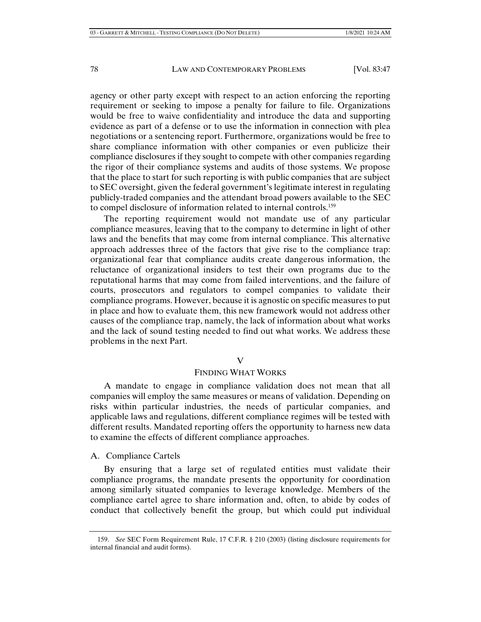agency or other party except with respect to an action enforcing the reporting requirement or seeking to impose a penalty for failure to file. Organizations would be free to waive confidentiality and introduce the data and supporting evidence as part of a defense or to use the information in connection with plea negotiations or a sentencing report. Furthermore, organizations would be free to share compliance information with other companies or even publicize their compliance disclosures if they sought to compete with other companies regarding the rigor of their compliance systems and audits of those systems. We propose that the place to start for such reporting is with public companies that are subject to SEC oversight, given the federal government's legitimate interest in regulating publicly-traded companies and the attendant broad powers available to the SEC to compel disclosure of information related to internal controls.159

The reporting requirement would not mandate use of any particular compliance measures, leaving that to the company to determine in light of other laws and the benefits that may come from internal compliance. This alternative approach addresses three of the factors that give rise to the compliance trap: organizational fear that compliance audits create dangerous information, the reluctance of organizational insiders to test their own programs due to the reputational harms that may come from failed interventions, and the failure of courts, prosecutors and regulators to compel companies to validate their compliance programs. However, because it is agnostic on specific measures to put in place and how to evaluate them, this new framework would not address other causes of the compliance trap, namely, the lack of information about what works and the lack of sound testing needed to find out what works. We address these problems in the next Part.

#### V

#### FINDING WHAT WORKS

A mandate to engage in compliance validation does not mean that all companies will employ the same measures or means of validation. Depending on risks within particular industries, the needs of particular companies, and applicable laws and regulations, different compliance regimes will be tested with different results. Mandated reporting offers the opportunity to harness new data to examine the effects of different compliance approaches.

A. Compliance Cartels

By ensuring that a large set of regulated entities must validate their compliance programs, the mandate presents the opportunity for coordination among similarly situated companies to leverage knowledge. Members of the compliance cartel agree to share information and, often, to abide by codes of conduct that collectively benefit the group, but which could put individual

 <sup>159.</sup> *See* SEC Form Requirement Rule, 17 C.F.R. § 210 (2003) (listing disclosure requirements for internal financial and audit forms).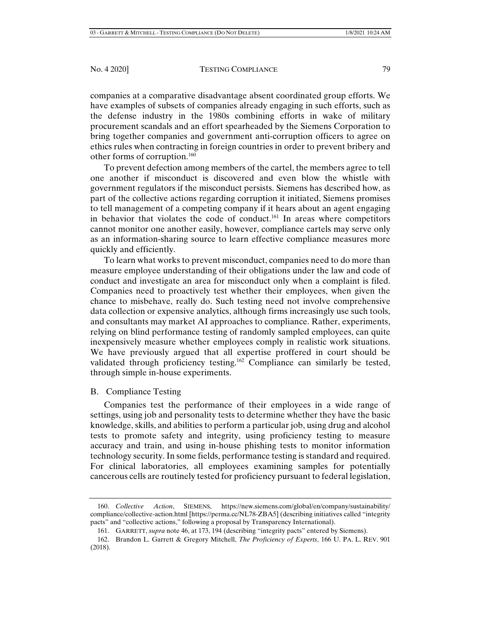companies at a comparative disadvantage absent coordinated group efforts. We have examples of subsets of companies already engaging in such efforts, such as the defense industry in the 1980s combining efforts in wake of military procurement scandals and an effort spearheaded by the Siemens Corporation to bring together companies and government anti-corruption officers to agree on ethics rules when contracting in foreign countries in order to prevent bribery and other forms of corruption.160

To prevent defection among members of the cartel, the members agree to tell one another if misconduct is discovered and even blow the whistle with government regulators if the misconduct persists. Siemens has described how, as part of the collective actions regarding corruption it initiated, Siemens promises to tell management of a competing company if it hears about an agent engaging in behavior that violates the code of conduct.161 In areas where competitors cannot monitor one another easily, however, compliance cartels may serve only as an information-sharing source to learn effective compliance measures more quickly and efficiently.

To learn what works to prevent misconduct, companies need to do more than measure employee understanding of their obligations under the law and code of conduct and investigate an area for misconduct only when a complaint is filed. Companies need to proactively test whether their employees, when given the chance to misbehave, really do. Such testing need not involve comprehensive data collection or expensive analytics, although firms increasingly use such tools, and consultants may market AI approaches to compliance. Rather, experiments, relying on blind performance testing of randomly sampled employees, can quite inexpensively measure whether employees comply in realistic work situations. We have previously argued that all expertise proffered in court should be validated through proficiency testing.162 Compliance can similarly be tested, through simple in-house experiments.

B. Compliance Testing

Companies test the performance of their employees in a wide range of settings, using job and personality tests to determine whether they have the basic knowledge, skills, and abilities to perform a particular job, using drug and alcohol tests to promote safety and integrity, using proficiency testing to measure accuracy and train, and using in-house phishing tests to monitor information technology security. In some fields, performance testing is standard and required. For clinical laboratories, all employees examining samples for potentially cancerous cells are routinely tested for proficiency pursuant to federal legislation,

 <sup>160.</sup> *Collective Action*, SIEMENS, https://new.siemens.com/global/en/company/sustainability/ compliance/collective-action.html [https://perma.cc/NL78-ZBA5] (describing initiatives called "integrity pacts" and "collective actions," following a proposal by Transparency International).

 <sup>161.</sup> GARRETT, *supra* note 46, at 173, 194 (describing "integrity pacts" entered by Siemens).

 <sup>162.</sup> Brandon L. Garrett & Gregory Mitchell, *The Proficiency of Experts*, 166 U. PA. L. REV. 901 (2018).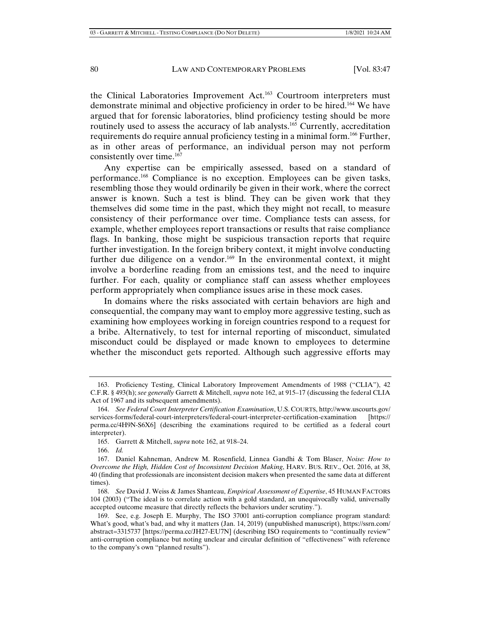the Clinical Laboratories Improvement Act.<sup>163</sup> Courtroom interpreters must demonstrate minimal and objective proficiency in order to be hired.164 We have argued that for forensic laboratories, blind proficiency testing should be more routinely used to assess the accuracy of lab analysts.<sup>165</sup> Currently, accreditation requirements do require annual proficiency testing in a minimal form.166 Further, as in other areas of performance, an individual person may not perform consistently over time.<sup>167</sup>

Any expertise can be empirically assessed, based on a standard of performance.168 Compliance is no exception. Employees can be given tasks, resembling those they would ordinarily be given in their work, where the correct answer is known. Such a test is blind. They can be given work that they themselves did some time in the past, which they might not recall, to measure consistency of their performance over time. Compliance tests can assess, for example, whether employees report transactions or results that raise compliance flags. In banking, those might be suspicious transaction reports that require further investigation. In the foreign bribery context, it might involve conducting further due diligence on a vendor.<sup>169</sup> In the environmental context, it might involve a borderline reading from an emissions test, and the need to inquire further. For each, quality or compliance staff can assess whether employees perform appropriately when compliance issues arise in these mock cases.

In domains where the risks associated with certain behaviors are high and consequential, the company may want to employ more aggressive testing, such as examining how employees working in foreign countries respond to a request for a bribe. Alternatively, to test for internal reporting of misconduct, simulated misconduct could be displayed or made known to employees to determine whether the misconduct gets reported. Although such aggressive efforts may

 <sup>163.</sup> Proficiency Testing, Clinical Laboratory Improvement Amendments of 1988 ("CLIA"), 42 C.F.R. § 493(h); *see generally* Garrett & Mitchell, *supra* note 162, at 915–17 (discussing the federal CLIA Act of 1967 and its subsequent amendments).

 <sup>164.</sup> *See Federal Court Interpreter Certification Examination*, U.S. COURTS, http://www.uscourts.gov/ services-forms/federal-court-interpreters/federal-court-interpreter-certification-examination [https:// perma.cc/4H9N-S6X6] (describing the examinations required to be certified as a federal court interpreter).

 <sup>165.</sup> Garrett & Mitchell, *supra* note 162, at 918–24.

 <sup>166.</sup> *Id.*

 <sup>167.</sup> Daniel Kahneman, Andrew M. Rosenfield, Linnea Gandhi & Tom Blaser, *Noise: How to Overcome the High, Hidden Cost of Inconsistent Decision Making*, HARV. BUS. REV., Oct. 2016, at 38, 40 (finding that professionals are inconsistent decision makers when presented the same data at different times).

 <sup>168.</sup> *See* David J. Weiss & James Shanteau, *Empirical Assessment of Expertise*, 45 HUMAN FACTORS 104 (2003) ("The ideal is to correlate action with a gold standard, an unequivocally valid, universally accepted outcome measure that directly reflects the behaviors under scrutiny.").

 <sup>169.</sup> See, e.g. Joseph E. Murphy, The ISO 37001 anti-corruption compliance program standard: What's good, what's bad, and why it matters (Jan. 14, 2019) (unpublished manuscript), https://ssrn.com/ abstract=3315737 [https://perma.cc/JH27-EU7N] (describing ISO requirements to "continually review" anti-corruption compliance but noting unclear and circular definition of "effectiveness" with reference to the company's own "planned results").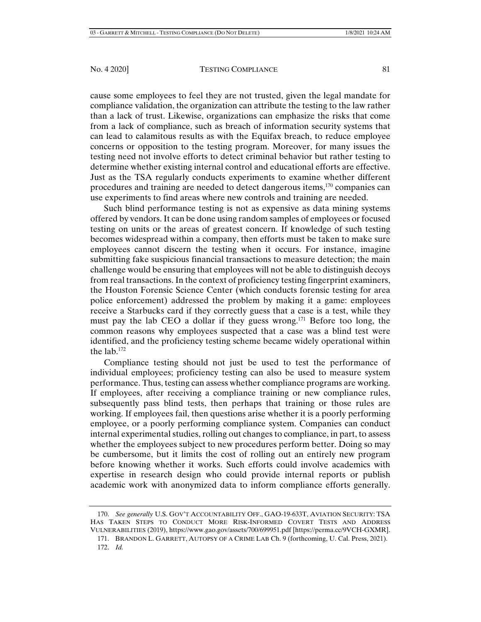cause some employees to feel they are not trusted, given the legal mandate for compliance validation, the organization can attribute the testing to the law rather than a lack of trust. Likewise, organizations can emphasize the risks that come from a lack of compliance, such as breach of information security systems that can lead to calamitous results as with the Equifax breach, to reduce employee concerns or opposition to the testing program. Moreover, for many issues the testing need not involve efforts to detect criminal behavior but rather testing to determine whether existing internal control and educational efforts are effective. Just as the TSA regularly conducts experiments to examine whether different procedures and training are needed to detect dangerous items,170 companies can use experiments to find areas where new controls and training are needed.

Such blind performance testing is not as expensive as data mining systems offered by vendors. It can be done using random samples of employees or focused testing on units or the areas of greatest concern. If knowledge of such testing becomes widespread within a company, then efforts must be taken to make sure employees cannot discern the testing when it occurs. For instance, imagine submitting fake suspicious financial transactions to measure detection; the main challenge would be ensuring that employees will not be able to distinguish decoys from real transactions. In the context of proficiency testing fingerprint examiners, the Houston Forensic Science Center (which conducts forensic testing for area police enforcement) addressed the problem by making it a game: employees receive a Starbucks card if they correctly guess that a case is a test, while they must pay the lab CEO a dollar if they guess wrong.171 Before too long, the common reasons why employees suspected that a case was a blind test were identified, and the proficiency testing scheme became widely operational within the lab. $172$ 

Compliance testing should not just be used to test the performance of individual employees; proficiency testing can also be used to measure system performance. Thus, testing can assess whether compliance programs are working. If employees, after receiving a compliance training or new compliance rules, subsequently pass blind tests, then perhaps that training or those rules are working. If employees fail, then questions arise whether it is a poorly performing employee, or a poorly performing compliance system. Companies can conduct internal experimental studies, rolling out changes to compliance, in part, to assess whether the employees subject to new procedures perform better. Doing so may be cumbersome, but it limits the cost of rolling out an entirely new program before knowing whether it works. Such efforts could involve academics with expertise in research design who could provide internal reports or publish academic work with anonymized data to inform compliance efforts generally.

 <sup>170.</sup> *See generally* U.S. GOV'T ACCOUNTABILITY OFF., GAO-19-633T, AVIATION SECURITY: TSA HAS TAKEN STEPS TO CONDUCT MORE RISK-INFORMED COVERT TESTS AND ADDRESS VULNERABILITIES (2019), https://www.gao.gov/assets/700/699951.pdf [https://perma.cc/9VCH-GXMR].

 <sup>171.</sup> BRANDON L. GARRETT, AUTOPSY OF A CRIME LAB Ch. 9 (forthcoming, U. Cal. Press, 2021).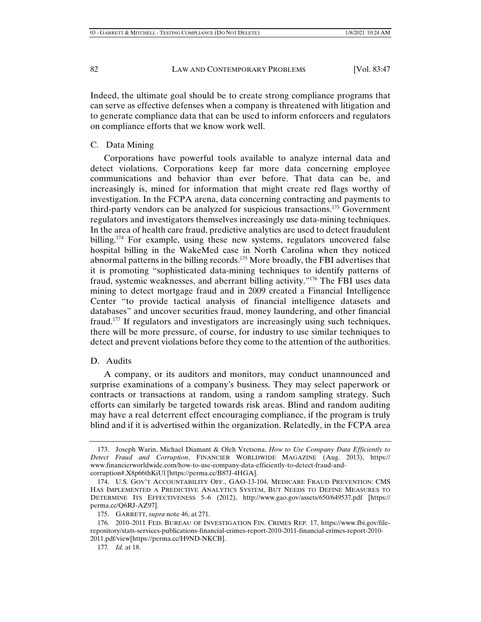Indeed, the ultimate goal should be to create strong compliance programs that can serve as effective defenses when a company is threatened with litigation and to generate compliance data that can be used to inform enforcers and regulators on compliance efforts that we know work well.

### C. Data Mining

Corporations have powerful tools available to analyze internal data and detect violations. Corporations keep far more data concerning employee communications and behavior than ever before. That data can be, and increasingly is, mined for information that might create red flags worthy of investigation. In the FCPA arena, data concerning contracting and payments to third-party vendors can be analyzed for suspicious transactions.173 Government regulators and investigators themselves increasingly use data-mining techniques. In the area of health care fraud, predictive analytics are used to detect fraudulent billing.<sup>174</sup> For example, using these new systems, regulators uncovered false hospital billing in the WakeMed case in North Carolina when they noticed abnormal patterns in the billing records.<sup>175</sup> More broadly, the FBI advertises that it is promoting "sophisticated data-mining techniques to identify patterns of fraud, systemic weaknesses, and aberrant billing activity."176 The FBI uses data mining to detect mortgage fraud and in 2009 created a Financial Intelligence Center "to provide tactical analysis of financial intelligence datasets and databases" and uncover securities fraud, money laundering, and other financial fraud.177 If regulators and investigators are increasingly using such techniques, there will be more pressure, of course, for industry to use similar techniques to detect and prevent violations before they come to the attention of the authorities.

# D. Audits

A company, or its auditors and monitors, may conduct unannounced and surprise examinations of a company's business. They may select paperwork or contracts or transactions at random, using a random sampling strategy. Such efforts can similarly be targeted towards risk areas. Blind and random auditing may have a real deterrent effect encouraging compliance, if the program is truly blind and if it is advertised within the organization. Relatedly, in the FCPA area

 <sup>173.</sup> Joseph Warin, Michael Diamant & Oleh Vretsona, *How to Use Company Data Efficiently to Detect Fraud and Corruption*, FINANCIER WORLDWIDE MAGAZINE (Aug. 2013), https:// www.financierworldwide.com/how-to-use-company-data-efficiently-to-detect-fraud-andcorruption#.X8p66thKiUl [https://perma.cc/B87J-4HGA].

 <sup>174.</sup> U.S. GOV'T ACCOUNTABILITY OFF., GAO-13-104, MEDICARE FRAUD PREVENTION: CMS HAS IMPLEMENTED A PREDICTIVE ANALYTICS SYSTEM, BUT NEEDS TO DEFINE MEASURES TO DETERMINE ITS EFFECTIVENESS 5–6 (2012), http://www.gao.gov/assets/650/649537.pdf [https:// perma.cc/Q6RJ-AZ97].

 <sup>175.</sup> GARRETT, *supra* note 46, at 271.

 <sup>176. 2010–2011</sup> FED. BUREAU OF INVESTIGATION FIN. CRIMES REP. 17, https://www.fbi.gov/filerepository/stats-services-publications-financial-crimes-report-2010-2011-financial-crimes-report-2010- 2011.pdf/view[https://perma.cc/H9ND-NKCB].

<sup>177</sup>*. Id.* at 18.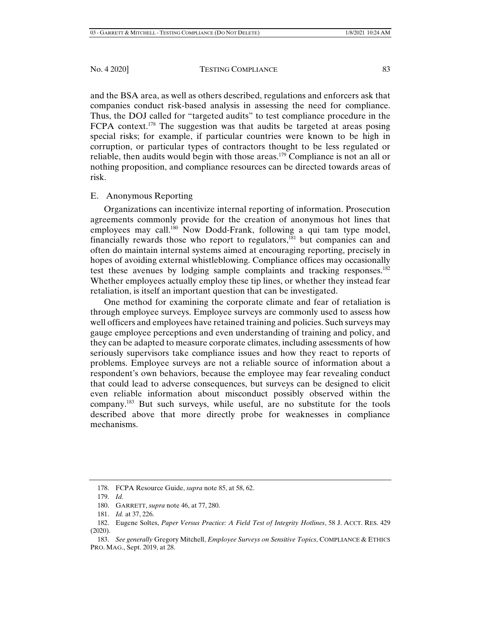and the BSA area, as well as others described, regulations and enforcers ask that companies conduct risk-based analysis in assessing the need for compliance. Thus, the DOJ called for "targeted audits" to test compliance procedure in the FCPA context.<sup>178</sup> The suggestion was that audits be targeted at areas posing special risks; for example, if particular countries were known to be high in corruption, or particular types of contractors thought to be less regulated or reliable, then audits would begin with those areas.179 Compliance is not an all or nothing proposition, and compliance resources can be directed towards areas of risk.

### E. Anonymous Reporting

Organizations can incentivize internal reporting of information. Prosecution agreements commonly provide for the creation of anonymous hot lines that employees may call.<sup>180</sup> Now Dodd-Frank, following a qui tam type model, financially rewards those who report to regulators, $181$  but companies can and often do maintain internal systems aimed at encouraging reporting, precisely in hopes of avoiding external whistleblowing. Compliance offices may occasionally test these avenues by lodging sample complaints and tracking responses.<sup>182</sup> Whether employees actually employ these tip lines, or whether they instead fear retaliation, is itself an important question that can be investigated.

One method for examining the corporate climate and fear of retaliation is through employee surveys. Employee surveys are commonly used to assess how well officers and employees have retained training and policies. Such surveys may gauge employee perceptions and even understanding of training and policy, and they can be adapted to measure corporate climates, including assessments of how seriously supervisors take compliance issues and how they react to reports of problems. Employee surveys are not a reliable source of information about a respondent's own behaviors, because the employee may fear revealing conduct that could lead to adverse consequences, but surveys can be designed to elicit even reliable information about misconduct possibly observed within the company.<sup>183</sup> But such surveys, while useful, are no substitute for the tools described above that more directly probe for weaknesses in compliance mechanisms.

 <sup>178.</sup> FCPA Resource Guide, *supra* note 85, at 58, 62.

 <sup>179.</sup> *Id.*

 <sup>180.</sup> GARRETT, *supra* note 46, at 77, 280.

 <sup>181.</sup> *Id.* at 37, 226.

 <sup>182.</sup> Eugene Soltes, *Paper Versus Practice: A Field Test of Integrity Hotlines*, 58 J. ACCT. RES. 429 (2020).

 <sup>183.</sup> *See generally* Gregory Mitchell, *Employee Surveys on Sensitive Topics*, COMPLIANCE & ETHICS PRO. MAG., Sept. 2019, at 28.